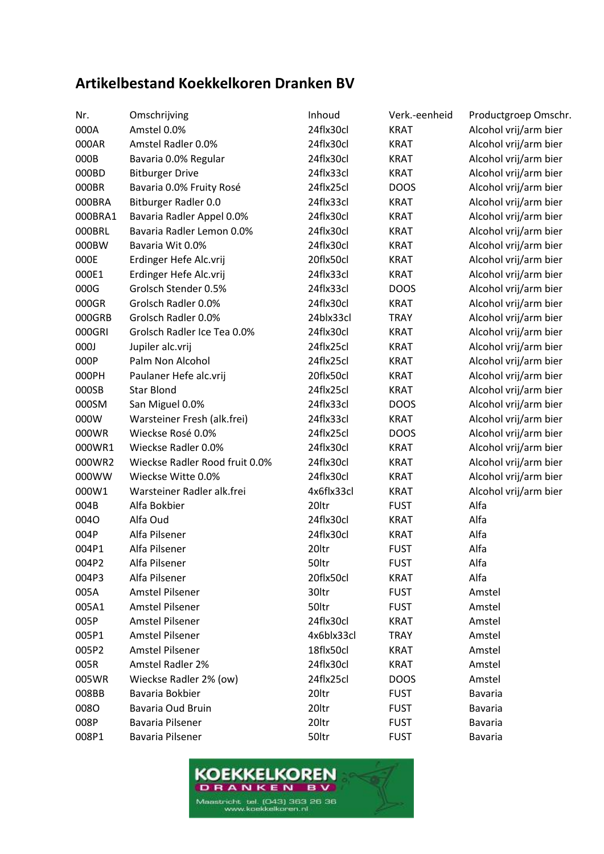## **Artikelbestand Koekkelkoren Dranken BV**

| Nr.     | Omschrijving                   | Inhoud     | Verk.-eenheid | Productgroep Omschr.  |
|---------|--------------------------------|------------|---------------|-----------------------|
| 000A    | Amstel 0.0%                    | 24flx30cl  | <b>KRAT</b>   | Alcohol vrij/arm bier |
| 000AR   | Amstel Radler 0.0%             | 24flx30cl  | <b>KRAT</b>   | Alcohol vrij/arm bier |
| 000B    | Bavaria 0.0% Regular           | 24flx30cl  | <b>KRAT</b>   | Alcohol vrij/arm bier |
| 000BD   | <b>Bitburger Drive</b>         | 24flx33cl  | <b>KRAT</b>   | Alcohol vrij/arm bier |
| 000BR   | Bavaria 0.0% Fruity Rosé       | 24flx25cl  | <b>DOOS</b>   | Alcohol vrij/arm bier |
| 000BRA  | Bitburger Radler 0.0           | 24flx33cl  | <b>KRAT</b>   | Alcohol vrij/arm bier |
| 000BRA1 | Bavaria Radler Appel 0.0%      | 24flx30cl  | <b>KRAT</b>   | Alcohol vrij/arm bier |
| 000BRL  | Bavaria Radler Lemon 0.0%      | 24flx30cl  | <b>KRAT</b>   | Alcohol vrij/arm bier |
| 000BW   | Bavaria Wit 0.0%               | 24flx30cl  | <b>KRAT</b>   | Alcohol vrij/arm bier |
| 000E    | Erdinger Hefe Alc.vrij         | 20flx50cl  | <b>KRAT</b>   | Alcohol vrij/arm bier |
| 000E1   | Erdinger Hefe Alc.vrij         | 24flx33cl  | <b>KRAT</b>   | Alcohol vrij/arm bier |
| 000G    | Grolsch Stender 0.5%           | 24flx33cl  | <b>DOOS</b>   | Alcohol vrij/arm bier |
| 000GR   | Grolsch Radler 0.0%            | 24flx30cl  | <b>KRAT</b>   | Alcohol vrij/arm bier |
| 000GRB  | Grolsch Radler 0.0%            | 24blx33cl  | <b>TRAY</b>   | Alcohol vrij/arm bier |
| 000GRI  | Grolsch Radler Ice Tea 0.0%    | 24flx30cl  | <b>KRAT</b>   | Alcohol vrij/arm bier |
| 000J    | Jupiler alc.vrij               | 24flx25cl  | <b>KRAT</b>   | Alcohol vrij/arm bier |
| 000P    | Palm Non Alcohol               | 24flx25cl  | <b>KRAT</b>   | Alcohol vrij/arm bier |
| 000PH   | Paulaner Hefe alc.vrij         | 20flx50cl  | <b>KRAT</b>   | Alcohol vrij/arm bier |
| 000SB   | <b>Star Blond</b>              | 24flx25cl  | <b>KRAT</b>   | Alcohol vrij/arm bier |
| 000SM   | San Miguel 0.0%                | 24flx33cl  | <b>DOOS</b>   | Alcohol vrij/arm bier |
| 000W    | Warsteiner Fresh (alk.frei)    | 24flx33cl  | <b>KRAT</b>   | Alcohol vrij/arm bier |
| 000WR   | Wieckse Rosé 0.0%              | 24flx25cl  | <b>DOOS</b>   | Alcohol vrij/arm bier |
| 000WR1  | Wieckse Radler 0.0%            | 24flx30cl  | <b>KRAT</b>   | Alcohol vrij/arm bier |
| 000WR2  | Wieckse Radler Rood fruit 0.0% | 24flx30cl  | <b>KRAT</b>   | Alcohol vrij/arm bier |
| 000WW   | Wieckse Witte 0.0%             | 24flx30cl  | <b>KRAT</b>   | Alcohol vrij/arm bier |
| 000W1   | Warsteiner Radler alk.frei     | 4x6flx33cl | <b>KRAT</b>   | Alcohol vrij/arm bier |
| 004B    | Alfa Bokbier                   | 20ltr      | <b>FUST</b>   | Alfa                  |
| 0040    | Alfa Oud                       | 24flx30cl  | <b>KRAT</b>   | Alfa                  |
| 004P    | Alfa Pilsener                  | 24flx30cl  | <b>KRAT</b>   | Alfa                  |
| 004P1   | Alfa Pilsener                  | 20ltr      | <b>FUST</b>   | Alfa                  |
| 004P2   | Alfa Pilsener                  | 50ltr      | <b>FUST</b>   | Alfa                  |
| 004P3   | Alfa Pilsener                  | 20flx50cl  | <b>KRAT</b>   | Alfa                  |
| 005A    | Amstel Pilsener                | 30ltr      | <b>FUST</b>   | Amstel                |
| 005A1   | Amstel Pilsener                | 50ltr      | <b>FUST</b>   | Amstel                |
| 005P    | Amstel Pilsener                | 24flx30cl  | <b>KRAT</b>   | Amstel                |
| 005P1   | Amstel Pilsener                | 4x6blx33cl | <b>TRAY</b>   | Amstel                |
| 005P2   | Amstel Pilsener                | 18flx50cl  | <b>KRAT</b>   | Amstel                |
| 005R    | Amstel Radler 2%               | 24flx30cl  | <b>KRAT</b>   | Amstel                |
| 005WR   | Wieckse Radler 2% (ow)         | 24flx25cl  | <b>DOOS</b>   | Amstel                |
| 008BB   | Bavaria Bokbier                | 20ltr      | <b>FUST</b>   | <b>Bavaria</b>        |
| 0080    | Bavaria Oud Bruin              | 20ltr      | <b>FUST</b>   | <b>Bavaria</b>        |
| 008P    | Bavaria Pilsener               | 20ltr      | <b>FUST</b>   | <b>Bavaria</b>        |
| 008P1   | Bavaria Pilsener               | 50ltr      | <b>FUST</b>   | <b>Bavaria</b>        |
|         |                                |            |               |                       |

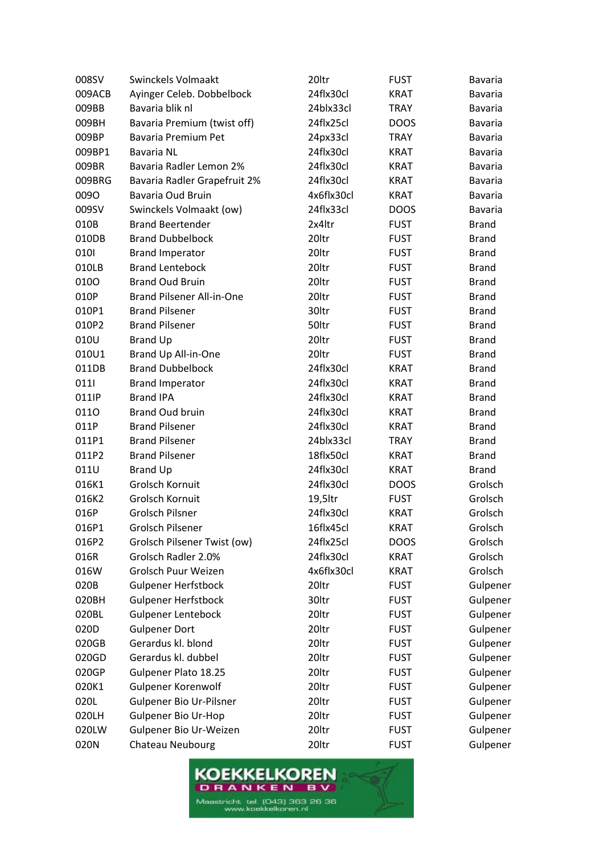| 008SV  | Swinckels Volmaakt           | 20ltr      | <b>FUST</b> | <b>Bavaria</b> |
|--------|------------------------------|------------|-------------|----------------|
| 009ACB | Ayinger Celeb. Dobbelbock    | 24flx30cl  | <b>KRAT</b> | <b>Bavaria</b> |
| 009BB  | Bavaria blik nl              | 24blx33cl  | <b>TRAY</b> | <b>Bavaria</b> |
| 009BH  | Bavaria Premium (twist off)  | 24flx25cl  | <b>DOOS</b> | Bavaria        |
| 009BP  | Bavaria Premium Pet          | 24px33cl   | <b>TRAY</b> | <b>Bavaria</b> |
| 009BP1 | Bavaria NL                   | 24flx30cl  | <b>KRAT</b> | <b>Bavaria</b> |
| 009BR  | Bavaria Radler Lemon 2%      | 24flx30cl  | <b>KRAT</b> | Bavaria        |
| 009BRG | Bavaria Radler Grapefruit 2% | 24flx30cl  | <b>KRAT</b> | <b>Bavaria</b> |
| 0090   | Bavaria Oud Bruin            | 4x6flx30cl | <b>KRAT</b> | Bavaria        |
| 009SV  | Swinckels Volmaakt (ow)      | 24flx33cl  | <b>DOOS</b> | <b>Bavaria</b> |
| 010B   | <b>Brand Beertender</b>      | 2x4ltr     | <b>FUST</b> | <b>Brand</b>   |
| 010DB  | <b>Brand Dubbelbock</b>      | 20ltr      | <b>FUST</b> | <b>Brand</b>   |
| 0101   | <b>Brand Imperator</b>       | 20ltr      | <b>FUST</b> | <b>Brand</b>   |
| 010LB  | <b>Brand Lentebock</b>       | 20ltr      | <b>FUST</b> | <b>Brand</b>   |
| 0100   | <b>Brand Oud Bruin</b>       | 20ltr      | <b>FUST</b> | <b>Brand</b>   |
| 010P   | Brand Pilsener All-in-One    | 20ltr      | <b>FUST</b> | <b>Brand</b>   |
| 010P1  | <b>Brand Pilsener</b>        | 30ltr      | <b>FUST</b> | <b>Brand</b>   |
| 010P2  | <b>Brand Pilsener</b>        | 50ltr      | <b>FUST</b> | <b>Brand</b>   |
| 010U   | <b>Brand Up</b>              | 20ltr      | <b>FUST</b> | <b>Brand</b>   |
| 010U1  | Brand Up All-in-One          | 20ltr      | <b>FUST</b> | <b>Brand</b>   |
| 011DB  | <b>Brand Dubbelbock</b>      | 24flx30cl  | <b>KRAT</b> | <b>Brand</b>   |
| 0111   | <b>Brand Imperator</b>       | 24flx30cl  | <b>KRAT</b> | <b>Brand</b>   |
| 011IP  | <b>Brand IPA</b>             | 24flx30cl  | <b>KRAT</b> | <b>Brand</b>   |
| 0110   | <b>Brand Oud bruin</b>       | 24flx30cl  | <b>KRAT</b> | <b>Brand</b>   |
| 011P   | <b>Brand Pilsener</b>        | 24flx30cl  | KRAT        | <b>Brand</b>   |
| 011P1  | <b>Brand Pilsener</b>        | 24blx33cl  | <b>TRAY</b> | <b>Brand</b>   |
| 011P2  | <b>Brand Pilsener</b>        | 18flx50cl  | <b>KRAT</b> | <b>Brand</b>   |
| 011U   | <b>Brand Up</b>              | 24flx30cl  | <b>KRAT</b> | <b>Brand</b>   |
| 016K1  | <b>Grolsch Kornuit</b>       | 24flx30cl  | <b>DOOS</b> | Grolsch        |
| 016K2  | Grolsch Kornuit              | 19,5ltr    | <b>FUST</b> | Grolsch        |
| 016P   | <b>Grolsch Pilsner</b>       | 24flx30cl  | <b>KRAT</b> | Grolsch        |
| 016P1  | Grolsch Pilsener             | 16flx45cl  | <b>KRAT</b> | Grolsch        |
| 016P2  | Grolsch Pilsener Twist (ow)  | 24flx25cl  | <b>DOOS</b> | Grolsch        |
| 016R   | Grolsch Radler 2.0%          | 24flx30cl  | <b>KRAT</b> | Grolsch        |
| 016W   | Grolsch Puur Weizen          | 4x6flx30cl | <b>KRAT</b> | Grolsch        |
| 020B   | <b>Gulpener Herfstbock</b>   | 20ltr      | <b>FUST</b> | Gulpener       |
| 020BH  | <b>Gulpener Herfstbock</b>   | 30ltr      | <b>FUST</b> | Gulpener       |
| 020BL  | <b>Gulpener Lentebock</b>    | 20ltr      | <b>FUST</b> | Gulpener       |
| 020D   | <b>Gulpener Dort</b>         | 20ltr      | <b>FUST</b> | Gulpener       |
| 020GB  | Gerardus kl. blond           | 20ltr      | <b>FUST</b> | Gulpener       |
| 020GD  | Gerardus kl. dubbel          | 20ltr      | <b>FUST</b> | Gulpener       |
| 020GP  | Gulpener Plato 18.25         | 20ltr      | <b>FUST</b> | Gulpener       |
| 020K1  | Gulpener Korenwolf           | 20ltr      | <b>FUST</b> | Gulpener       |
| 020L   | Gulpener Bio Ur-Pilsner      | 20ltr      | <b>FUST</b> | Gulpener       |
| 020LH  | <b>Gulpener Bio Ur-Hop</b>   | 20ltr      | <b>FUST</b> | Gulpener       |
| 020LW  | Gulpener Bio Ur-Weizen       | 20ltr      | <b>FUST</b> | Gulpener       |
| 020N   | Chateau Neubourg             | 20ltr      | <b>FUST</b> | Gulpener       |

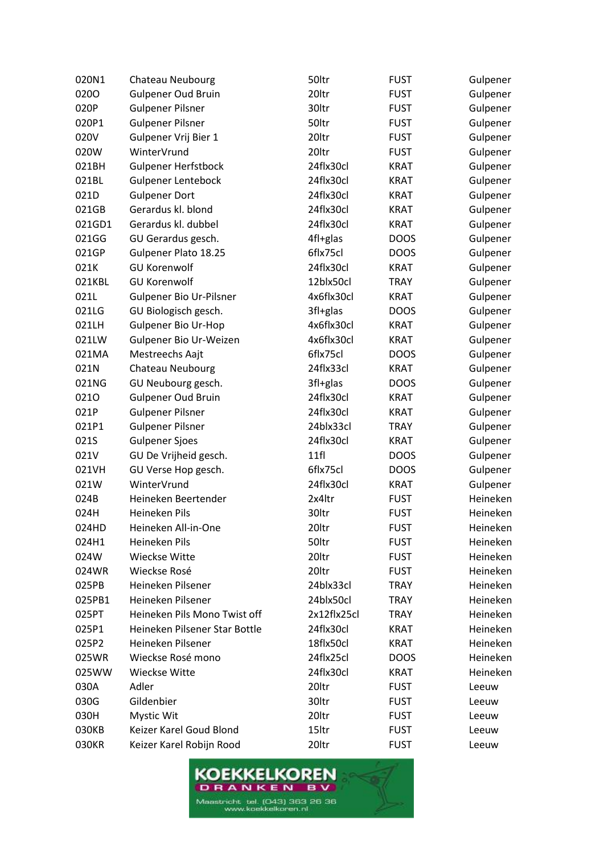| 020N1  | Chateau Neubourg              | 50ltr       | <b>FUST</b> | Gulpener |
|--------|-------------------------------|-------------|-------------|----------|
| 0200   | <b>Gulpener Oud Bruin</b>     | 20ltr       | <b>FUST</b> | Gulpener |
| 020P   | <b>Gulpener Pilsner</b>       | 30ltr       | <b>FUST</b> | Gulpener |
| 020P1  | <b>Gulpener Pilsner</b>       | 50ltr       | <b>FUST</b> | Gulpener |
| 020V   | Gulpener Vrij Bier 1          | 20ltr       | <b>FUST</b> | Gulpener |
| 020W   | WinterVrund                   | 20ltr       | <b>FUST</b> | Gulpener |
| 021BH  | <b>Gulpener Herfstbock</b>    | 24flx30cl   | <b>KRAT</b> | Gulpener |
| 021BL  | <b>Gulpener Lentebock</b>     | 24flx30cl   | <b>KRAT</b> | Gulpener |
| 021D   | <b>Gulpener Dort</b>          | 24flx30cl   | <b>KRAT</b> | Gulpener |
| 021GB  | Gerardus kl. blond            | 24flx30cl   | <b>KRAT</b> | Gulpener |
| 021GD1 | Gerardus kl. dubbel           | 24flx30cl   | <b>KRAT</b> | Gulpener |
| 021GG  | GU Gerardus gesch.            | 4fl+glas    | <b>DOOS</b> | Gulpener |
| 021GP  | Gulpener Plato 18.25          | 6flx75cl    | <b>DOOS</b> | Gulpener |
| 021K   | <b>GU Korenwolf</b>           | 24flx30cl   | <b>KRAT</b> | Gulpener |
| 021KBL | <b>GU Korenwolf</b>           | 12blx50cl   | TRAY        | Gulpener |
| 021L   | Gulpener Bio Ur-Pilsner       | 4x6flx30cl  | <b>KRAT</b> | Gulpener |
| 021LG  | GU Biologisch gesch.          | 3fl+glas    | <b>DOOS</b> | Gulpener |
| 021LH  | <b>Gulpener Bio Ur-Hop</b>    | 4x6flx30cl  | <b>KRAT</b> | Gulpener |
| 021LW  | Gulpener Bio Ur-Weizen        | 4x6flx30cl  | <b>KRAT</b> | Gulpener |
| 021MA  | Mestreechs Aajt               | 6flx75cl    | <b>DOOS</b> | Gulpener |
| 021N   | Chateau Neubourg              | 24flx33cl   | <b>KRAT</b> | Gulpener |
| 021NG  | GU Neubourg gesch.            | 3fl+glas    | <b>DOOS</b> | Gulpener |
| 0210   | <b>Gulpener Oud Bruin</b>     | 24flx30cl   | <b>KRAT</b> | Gulpener |
| 021P   | <b>Gulpener Pilsner</b>       | 24flx30cl   | <b>KRAT</b> | Gulpener |
| 021P1  | <b>Gulpener Pilsner</b>       | 24blx33cl   | <b>TRAY</b> | Gulpener |
| 021S   | <b>Gulpener Sjoes</b>         | 24flx30cl   | <b>KRAT</b> | Gulpener |
| 021V   | GU De Vrijheid gesch.         | 11f         | <b>DOOS</b> | Gulpener |
| 021VH  | GU Verse Hop gesch.           | 6flx75cl    | <b>DOOS</b> | Gulpener |
| 021W   | WinterVrund                   | 24flx30cl   | <b>KRAT</b> | Gulpener |
| 024B   | Heineken Beertender           | 2x4ltr      | <b>FUST</b> | Heineken |
| 024H   | Heineken Pils                 | 30ltr       | <b>FUST</b> | Heineken |
| 024HD  | Heineken All-in-One           | 20ltr       | <b>FUST</b> | Heineken |
| 024H1  | Heineken Pils                 | 50ltr       | <b>FUST</b> | Heineken |
| 024W   | Wieckse Witte                 | 20ltr       | <b>FUST</b> | Heineken |
| 024WR  | Wieckse Rosé                  | 20ltr       | <b>FUST</b> | Heineken |
| 025PB  | Heineken Pilsener             | 24blx33cl   | <b>TRAY</b> | Heineken |
| 025PB1 | Heineken Pilsener             | 24blx50cl   | <b>TRAY</b> | Heineken |
| 025PT  | Heineken Pils Mono Twist off  | 2x12flx25cl | <b>TRAY</b> | Heineken |
| 025P1  | Heineken Pilsener Star Bottle | 24flx30cl   | <b>KRAT</b> | Heineken |
| 025P2  | Heineken Pilsener             | 18flx50cl   | <b>KRAT</b> | Heineken |
| 025WR  | Wieckse Rosé mono             | 24flx25cl   | <b>DOOS</b> | Heineken |
| 025WW  | <b>Wieckse Witte</b>          | 24flx30cl   | <b>KRAT</b> | Heineken |
| 030A   | Adler                         | 20ltr       | <b>FUST</b> | Leeuw    |
| 030G   | Gildenbier                    | 30ltr       | <b>FUST</b> | Leeuw    |
| 030H   | Mystic Wit                    | 20ltr       | <b>FUST</b> | Leeuw    |
| 030KB  | Keizer Karel Goud Blond       | 15ltr       | <b>FUST</b> | Leeuw    |
| 030KR  | Keizer Karel Robijn Rood      | 20ltr       | <b>FUST</b> | Leeuw    |

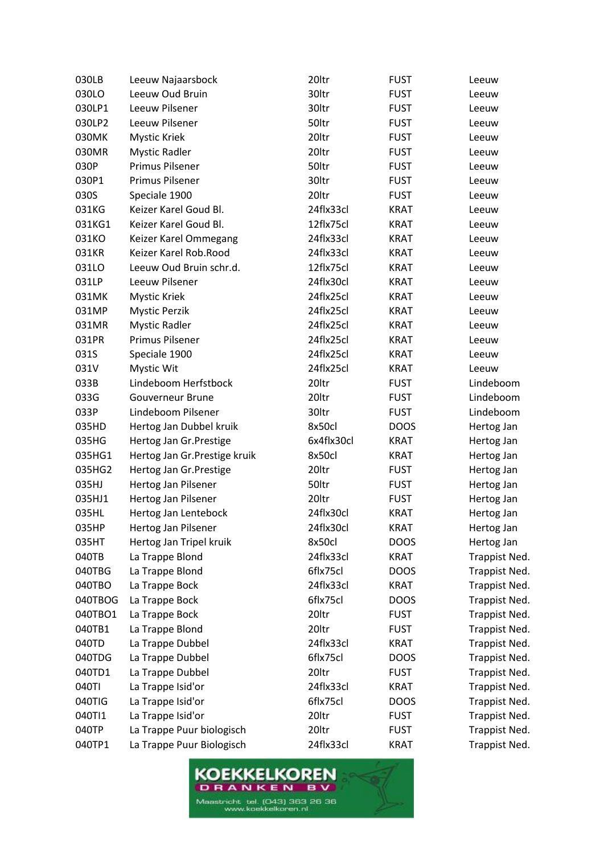| 030LB   | Leeuw Najaarsbock             | 20ltr      | <b>FUST</b> | Leeuw                |
|---------|-------------------------------|------------|-------------|----------------------|
| 030LO   | Leeuw Oud Bruin               | 30ltr      | <b>FUST</b> | Leeuw                |
| 030LP1  | Leeuw Pilsener                | 30ltr      | <b>FUST</b> | Leeuw                |
| 030LP2  | Leeuw Pilsener                | 50ltr      | <b>FUST</b> | Leeuw                |
| 030MK   | <b>Mystic Kriek</b>           | 20ltr      | <b>FUST</b> | Leeuw                |
| 030MR   | <b>Mystic Radler</b>          | 20ltr      | <b>FUST</b> | Leeuw                |
| 030P    | Primus Pilsener               | 50ltr      | <b>FUST</b> | Leeuw                |
| 030P1   | Primus Pilsener               | 30ltr      | <b>FUST</b> | Leeuw                |
| 030S    | Speciale 1900                 | 20ltr      | <b>FUST</b> | Leeuw                |
| 031KG   | Keizer Karel Goud Bl.         | 24flx33cl  | <b>KRAT</b> | Leeuw                |
| 031KG1  | Keizer Karel Goud Bl.         | 12flx75cl  | <b>KRAT</b> | Leeuw                |
| 031KO   | Keizer Karel Ommegang         | 24flx33cl  | <b>KRAT</b> | Leeuw                |
| 031KR   | Keizer Karel Rob.Rood         | 24flx33cl  | <b>KRAT</b> | Leeuw                |
| 031LO   | Leeuw Oud Bruin schr.d.       | 12flx75cl  | <b>KRAT</b> | Leeuw                |
| 031LP   | Leeuw Pilsener                | 24flx30cl  | <b>KRAT</b> | Leeuw                |
| 031MK   | <b>Mystic Kriek</b>           | 24flx25cl  | <b>KRAT</b> | Leeuw                |
| 031MP   | <b>Mystic Perzik</b>          | 24flx25cl  | <b>KRAT</b> | Leeuw                |
| 031MR   | <b>Mystic Radler</b>          | 24flx25cl  | <b>KRAT</b> | Leeuw                |
| 031PR   | Primus Pilsener               | 24flx25cl  | <b>KRAT</b> | Leeuw                |
| 031S    | Speciale 1900                 | 24flx25cl  | <b>KRAT</b> | Leeuw                |
| 031V    | Mystic Wit                    | 24flx25cl  | <b>KRAT</b> | Leeuw                |
| 033B    | Lindeboom Herfstbock          | 20ltr      | <b>FUST</b> | Lindeboom            |
| 033G    | <b>Gouverneur Brune</b>       | 20ltr      | <b>FUST</b> | Lindeboom            |
| 033P    | Lindeboom Pilsener            | 30ltr      | <b>FUST</b> | Lindeboom            |
| 035HD   | Hertog Jan Dubbel kruik       | 8x50cl     | <b>DOOS</b> | Hertog Jan           |
| 035HG   | Hertog Jan Gr. Prestige       | 6x4flx30cl | <b>KRAT</b> | Hertog Jan           |
| 035HG1  | Hertog Jan Gr. Prestige kruik | 8x50cl     | <b>KRAT</b> | Hertog Jan           |
| 035HG2  | Hertog Jan Gr. Prestige       | 20ltr      | <b>FUST</b> | Hertog Jan           |
| 035HJ   | Hertog Jan Pilsener           | 50ltr      | <b>FUST</b> | Hertog Jan           |
| 035HJ1  | Hertog Jan Pilsener           | 20ltr      | <b>FUST</b> | Hertog Jan           |
| 035HL   | Hertog Jan Lentebock          | 24flx30cl  | <b>KRAT</b> | Hertog Jan           |
| 035HP   | Hertog Jan Pilsener           | 24flx30cl  | <b>KRAT</b> | Hertog Jan           |
| 035HT   | Hertog Jan Tripel kruik       | 8x50cl     | <b>DOOS</b> | Hertog Jan           |
| 040TB   | La Trappe Blond               | 24flx33cl  | <b>KRAT</b> | Trappist Ned.        |
| 040TBG  | La Trappe Blond               | 6flx75cl   | <b>DOOS</b> | <b>Trappist Ned.</b> |
| 040TBO  | La Trappe Bock                | 24flx33cl  | <b>KRAT</b> | Trappist Ned.        |
| 040TBOG | La Trappe Bock                | 6flx75cl   | <b>DOOS</b> | Trappist Ned.        |
| 040TBO1 | La Trappe Bock                | 20ltr      | <b>FUST</b> | Trappist Ned.        |
| 040TB1  | La Trappe Blond               | 20ltr      | <b>FUST</b> | <b>Trappist Ned.</b> |
| 040TD   | La Trappe Dubbel              | 24flx33cl  | <b>KRAT</b> | <b>Trappist Ned.</b> |
| 040TDG  | La Trappe Dubbel              | 6flx75cl   | <b>DOOS</b> | Trappist Ned.        |
| 040TD1  | La Trappe Dubbel              | 20ltr      | <b>FUST</b> | <b>Trappist Ned.</b> |
| 040TI   | La Trappe Isid'or             | 24flx33cl  | <b>KRAT</b> | Trappist Ned.        |
| 040TIG  | La Trappe Isid'or             | 6flx75cl   | <b>DOOS</b> | Trappist Ned.        |
| 040TI1  | La Trappe Isid'or             | 20ltr      | <b>FUST</b> | Trappist Ned.        |
| 040TP   | La Trappe Puur biologisch     | 20ltr      | <b>FUST</b> | Trappist Ned.        |
| 040TP1  | La Trappe Puur Biologisch     | 24flx33cl  | <b>KRAT</b> | Trappist Ned.        |

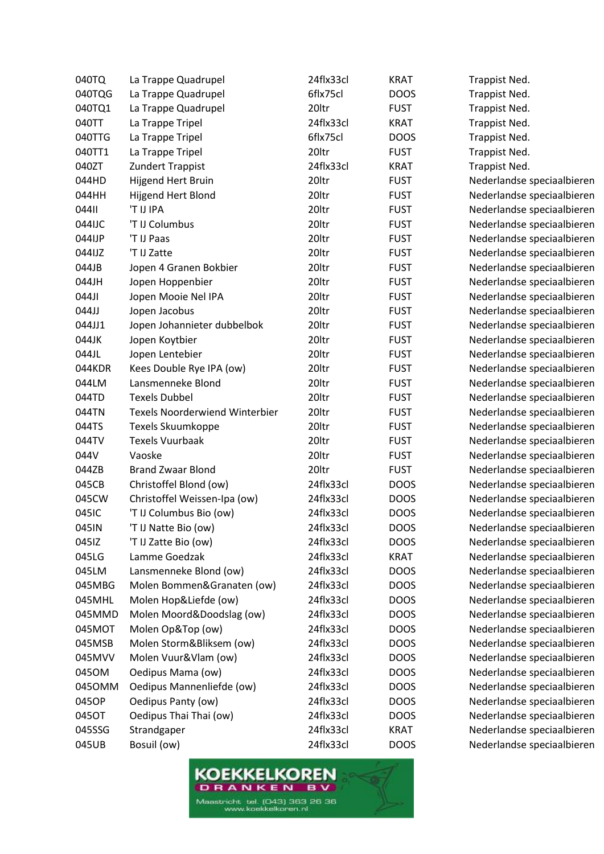| 040TQ  | La Trappe Quadrupel                   | 24flx33cl | <b>KRAT</b> | Trappist Ned.              |
|--------|---------------------------------------|-----------|-------------|----------------------------|
| 040TQG | La Trappe Quadrupel                   | 6flx75cl  | <b>DOOS</b> | Trappist Ned.              |
| 040TQ1 | La Trappe Quadrupel                   | 20ltr     | <b>FUST</b> | Trappist Ned.              |
| 040TT  | La Trappe Tripel                      | 24flx33cl | <b>KRAT</b> | Trappist Ned.              |
| 040TTG | La Trappe Tripel                      | 6flx75cl  | <b>DOOS</b> | Trappist Ned.              |
| 040TT1 | La Trappe Tripel                      | 20ltr     | <b>FUST</b> | Trappist Ned.              |
| 040ZT  | Zundert Trappist                      | 24flx33cl | <b>KRAT</b> | Trappist Ned.              |
| 044HD  | Hijgend Hert Bruin                    | 20ltr     | <b>FUST</b> | Nederlandse speciaalbieren |
| 044HH  | Hijgend Hert Blond                    | 20ltr     | <b>FUST</b> | Nederlandse speciaalbieren |
| 04411  | 'T IJ IPA                             | 20ltr     | <b>FUST</b> | Nederlandse speciaalbieren |
| 044IJC | 'T IJ Columbus                        | 20ltr     | <b>FUST</b> | Nederlandse speciaalbieren |
| 044IJP | 'T IJ Paas                            | 20ltr     | <b>FUST</b> | Nederlandse speciaalbieren |
| 044IJZ | 'T IJ Zatte                           | 20ltr     | <b>FUST</b> | Nederlandse speciaalbieren |
| 044JB  | Jopen 4 Granen Bokbier                | 20ltr     | <b>FUST</b> | Nederlandse speciaalbieren |
| 044JH  | Jopen Hoppenbier                      | 20ltr     | <b>FUST</b> | Nederlandse speciaalbieren |
| 044JI  | Jopen Mooie Nel IPA                   | 20ltr     | <b>FUST</b> | Nederlandse speciaalbieren |
| 044JJ  | Jopen Jacobus                         | 20ltr     | <b>FUST</b> | Nederlandse speciaalbieren |
| 044JJ1 | Jopen Johannieter dubbelbok           | 20ltr     | <b>FUST</b> | Nederlandse speciaalbieren |
| 044JK  | Jopen Koytbier                        | 20ltr     | <b>FUST</b> | Nederlandse speciaalbieren |
| 044JL  | Jopen Lentebier                       | 20ltr     | <b>FUST</b> | Nederlandse speciaalbieren |
| 044KDR | Kees Double Rye IPA (ow)              | 20ltr     | <b>FUST</b> | Nederlandse speciaalbieren |
| 044LM  | Lansmenneke Blond                     | 20ltr     | <b>FUST</b> | Nederlandse speciaalbieren |
| 044TD  | <b>Texels Dubbel</b>                  | 20ltr     | <b>FUST</b> | Nederlandse speciaalbieren |
| 044TN  | <b>Texels Noorderwiend Winterbier</b> | 20ltr     | <b>FUST</b> | Nederlandse speciaalbieren |
| 044TS  | Texels Skuumkoppe                     | 20ltr     | <b>FUST</b> | Nederlandse speciaalbieren |
| 044TV  | <b>Texels Vuurbaak</b>                | 20ltr     | <b>FUST</b> | Nederlandse speciaalbieren |
| 044V   | Vaoske                                | 20ltr     | <b>FUST</b> | Nederlandse speciaalbieren |
| 044ZB  | <b>Brand Zwaar Blond</b>              | 20ltr     | <b>FUST</b> | Nederlandse speciaalbieren |
| 045CB  | Christoffel Blond (ow)                | 24flx33cl | <b>DOOS</b> | Nederlandse speciaalbieren |
| 045CW  | Christoffel Weissen-Ipa (ow)          | 24flx33cl | <b>DOOS</b> | Nederlandse speciaalbieren |
| 045IC  | 'T IJ Columbus Bio (ow)               | 24flx33cl | <b>DOOS</b> | Nederlandse speciaalbieren |
| 045IN  | 'T IJ Natte Bio (ow)                  | 24flx33cl | <b>DOOS</b> | Nederlandse speciaalbieren |
| 045IZ  | 'T IJ Zatte Bio (ow)                  | 24flx33cl | <b>DOOS</b> | Nederlandse speciaalbieren |
| 045LG  | Lamme Goedzak                         | 24flx33cl | <b>KRAT</b> | Nederlandse speciaalbieren |
| 045LM  | Lansmenneke Blond (ow)                | 24flx33cl | <b>DOOS</b> | Nederlandse speciaalbieren |
| 045MBG | Molen Bommen&Granaten (ow)            | 24flx33cl | <b>DOOS</b> | Nederlandse speciaalbieren |
| 045MHL | Molen Hop&Liefde (ow)                 | 24flx33cl | <b>DOOS</b> | Nederlandse speciaalbieren |
| 045MMD | Molen Moord&Doodslag (ow)             | 24flx33cl | <b>DOOS</b> | Nederlandse speciaalbieren |
| 045MOT | Molen Op&Top (ow)                     | 24flx33cl | <b>DOOS</b> | Nederlandse speciaalbieren |
| 045MSB | Molen Storm&Bliksem (ow)              | 24flx33cl | <b>DOOS</b> | Nederlandse speciaalbieren |
| 045MVV | Molen Vuur&Vlam (ow)                  | 24flx33cl | <b>DOOS</b> | Nederlandse speciaalbieren |
| 045OM  | Oedipus Mama (ow)                     | 24flx33cl | <b>DOOS</b> | Nederlandse speciaalbieren |
| 0450MM | Oedipus Mannenliefde (ow)             | 24flx33cl | <b>DOOS</b> | Nederlandse speciaalbieren |
| 045OP  | Oedipus Panty (ow)                    | 24flx33cl | <b>DOOS</b> | Nederlandse speciaalbieren |
| 045OT  | Oedipus Thai Thai (ow)                | 24flx33cl | <b>DOOS</b> | Nederlandse speciaalbieren |
| 045SSG | Strandgaper                           | 24flx33cl | <b>KRAT</b> | Nederlandse speciaalbieren |
| 045UB  | Bosuil (ow)                           | 24flx33cl | <b>DOOS</b> | Nederlandse speciaalbieren |
|        |                                       |           |             |                            |

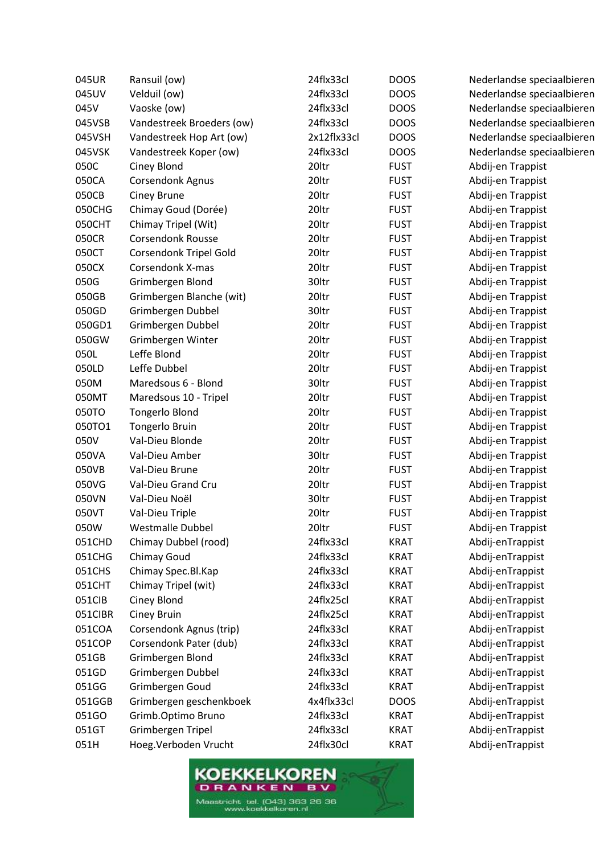| 045UR   | Ransuil (ow)                  | 24flx33cl   | <b>DOOS</b> | Nederlandse speciaalbieren |
|---------|-------------------------------|-------------|-------------|----------------------------|
| 045UV   | Velduil (ow)                  | 24flx33cl   | <b>DOOS</b> | Nederlandse speciaalbieren |
| 045V    | Vaoske (ow)                   | 24flx33cl   | <b>DOOS</b> | Nederlandse speciaalbieren |
| 045VSB  | Vandestreek Broeders (ow)     | 24flx33cl   | <b>DOOS</b> | Nederlandse speciaalbieren |
| 045VSH  | Vandestreek Hop Art (ow)      | 2x12flx33cl | <b>DOOS</b> | Nederlandse speciaalbieren |
| 045VSK  | Vandestreek Koper (ow)        | 24flx33cl   | <b>DOOS</b> | Nederlandse speciaalbieren |
| 050C    | Ciney Blond                   | 20ltr       | <b>FUST</b> | Abdij-en Trappist          |
| 050CA   | <b>Corsendonk Agnus</b>       | 20ltr       | <b>FUST</b> | Abdij-en Trappist          |
| 050CB   | Ciney Brune                   | 20ltr       | <b>FUST</b> | Abdij-en Trappist          |
| 050CHG  | Chimay Goud (Dorée)           | 20ltr       | <b>FUST</b> | Abdij-en Trappist          |
| 050CHT  | Chimay Tripel (Wit)           | 20ltr       | <b>FUST</b> | Abdij-en Trappist          |
| 050CR   | <b>Corsendonk Rousse</b>      | 20ltr       | <b>FUST</b> | Abdij-en Trappist          |
| 050CT   | <b>Corsendonk Tripel Gold</b> | 20ltr       | <b>FUST</b> | Abdij-en Trappist          |
| 050CX   | Corsendonk X-mas              | 20ltr       | <b>FUST</b> | Abdij-en Trappist          |
| 050G    | Grimbergen Blond              | 30ltr       | <b>FUST</b> | Abdij-en Trappist          |
| 050GB   | Grimbergen Blanche (wit)      | 20ltr       | <b>FUST</b> | Abdij-en Trappist          |
| 050GD   | Grimbergen Dubbel             | 30ltr       | <b>FUST</b> | Abdij-en Trappist          |
| 050GD1  | Grimbergen Dubbel             | 20ltr       | <b>FUST</b> | Abdij-en Trappist          |
| 050GW   | Grimbergen Winter             | 20ltr       | <b>FUST</b> | Abdij-en Trappist          |
| 050L    | Leffe Blond                   | 20ltr       | <b>FUST</b> | Abdij-en Trappist          |
| 050LD   | Leffe Dubbel                  | 20ltr       | <b>FUST</b> | Abdij-en Trappist          |
| 050M    | Maredsous 6 - Blond           | 30ltr       | <b>FUST</b> | Abdij-en Trappist          |
| 050MT   | Maredsous 10 - Tripel         | 20ltr       | <b>FUST</b> | Abdij-en Trappist          |
| 050TO   | <b>Tongerlo Blond</b>         | 20ltr       | <b>FUST</b> | Abdij-en Trappist          |
| 050TO1  | Tongerlo Bruin                | 20ltr       | <b>FUST</b> | Abdij-en Trappist          |
| 050V    | Val-Dieu Blonde               | 20ltr       | <b>FUST</b> | Abdij-en Trappist          |
| 050VA   | Val-Dieu Amber                | 30ltr       | <b>FUST</b> | Abdij-en Trappist          |
| 050VB   | Val-Dieu Brune                | 20ltr       | <b>FUST</b> | Abdij-en Trappist          |
| 050VG   | Val-Dieu Grand Cru            | 20ltr       | <b>FUST</b> | Abdij-en Trappist          |
| 050VN   | Val-Dieu Noël                 | 30ltr       | <b>FUST</b> | Abdij-en Trappist          |
| 050VT   | Val-Dieu Triple               | 20ltr       | <b>FUST</b> | Abdij-en Trappist          |
| 050W    | <b>Westmalle Dubbel</b>       | 20ltr       | <b>FUST</b> | Abdij-en Trappist          |
| 051CHD  | Chimay Dubbel (rood)          | 24flx33cl   | <b>KRAT</b> | Abdij-enTrappist           |
| 051CHG  | Chimay Goud                   | 24flx33cl   | <b>KRAT</b> | Abdij-enTrappist           |
| 051CHS  | Chimay Spec.Bl.Kap            | 24flx33cl   | <b>KRAT</b> | Abdij-enTrappist           |
| 051CHT  | Chimay Tripel (wit)           | 24flx33cl   | <b>KRAT</b> | Abdij-enTrappist           |
| 051CIB  | Ciney Blond                   | 24flx25cl   | <b>KRAT</b> | Abdij-enTrappist           |
| 051CIBR | Ciney Bruin                   | 24flx25cl   | <b>KRAT</b> | Abdij-enTrappist           |
| 051COA  | Corsendonk Agnus (trip)       | 24flx33cl   | <b>KRAT</b> | Abdij-enTrappist           |
| 051COP  | Corsendonk Pater (dub)        | 24flx33cl   | <b>KRAT</b> | Abdij-enTrappist           |
| 051GB   | Grimbergen Blond              | 24flx33cl   | <b>KRAT</b> | Abdij-enTrappist           |
| 051GD   | Grimbergen Dubbel             | 24flx33cl   | <b>KRAT</b> | Abdij-enTrappist           |
| 051GG   | Grimbergen Goud               | 24flx33cl   | <b>KRAT</b> | Abdij-enTrappist           |
| 051GGB  | Grimbergen geschenkboek       | 4x4flx33cl  | <b>DOOS</b> | Abdij-enTrappist           |
| 051GO   | Grimb.Optimo Bruno            | 24flx33cl   | <b>KRAT</b> | Abdij-enTrappist           |
| 051GT   | Grimbergen Tripel             | 24flx33cl   | <b>KRAT</b> | Abdij-enTrappist           |
| 051H    | Hoeg. Verboden Vrucht         | 24flx30cl   | <b>KRAT</b> | Abdij-enTrappist           |
|         |                               |             |             |                            |

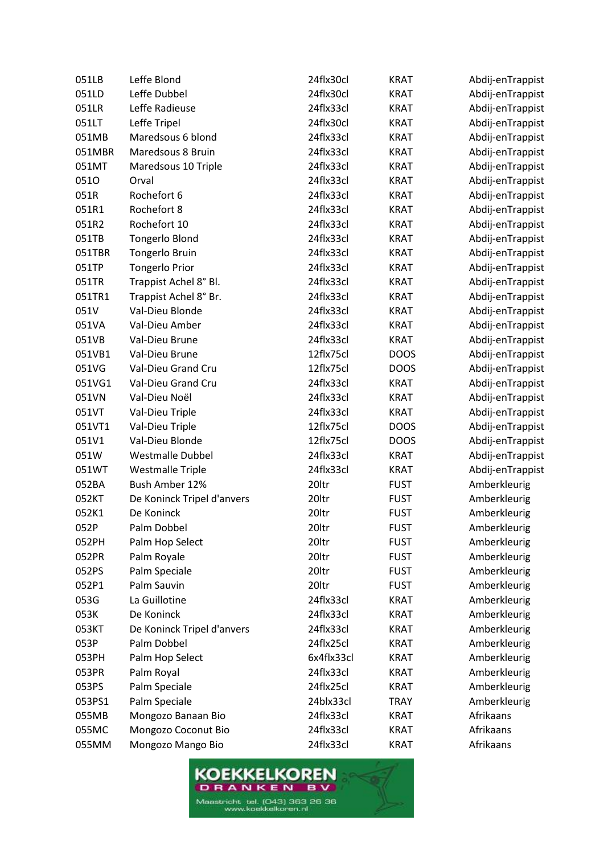| 051LB  | Leffe Blond                | 24flx30cl  | KRAT        | Abdij-enTrappist |
|--------|----------------------------|------------|-------------|------------------|
| 051LD  | Leffe Dubbel               | 24flx30cl  | <b>KRAT</b> | Abdij-enTrappist |
| 051LR  | Leffe Radieuse             | 24flx33cl  | <b>KRAT</b> | Abdij-enTrappist |
| 051LT  | Leffe Tripel               | 24flx30cl  | <b>KRAT</b> | Abdij-enTrappist |
| 051MB  | Maredsous 6 blond          | 24flx33cl  | <b>KRAT</b> | Abdij-enTrappist |
| 051MBR | Maredsous 8 Bruin          | 24flx33cl  | <b>KRAT</b> | Abdij-enTrappist |
| 051MT  | Maredsous 10 Triple        | 24flx33cl  | <b>KRAT</b> | Abdij-enTrappist |
| 0510   | Orval                      | 24flx33cl  | <b>KRAT</b> | Abdij-enTrappist |
| 051R   | Rochefort 6                | 24flx33cl  | <b>KRAT</b> | Abdij-enTrappist |
| 051R1  | Rochefort 8                | 24flx33cl  | <b>KRAT</b> | Abdij-enTrappist |
| 051R2  | Rochefort 10               | 24flx33cl  | <b>KRAT</b> | Abdij-enTrappist |
| 051TB  | <b>Tongerlo Blond</b>      | 24flx33cl  | <b>KRAT</b> | Abdij-enTrappist |
| 051TBR | Tongerlo Bruin             | 24flx33cl  | <b>KRAT</b> | Abdij-enTrappist |
| 051TP  | <b>Tongerlo Prior</b>      | 24flx33cl  | <b>KRAT</b> | Abdij-enTrappist |
| 051TR  | Trappist Achel 8° Bl.      | 24flx33cl  | <b>KRAT</b> | Abdij-enTrappist |
| 051TR1 | Trappist Achel 8° Br.      | 24flx33cl  | <b>KRAT</b> | Abdij-enTrappist |
| 051V   | Val-Dieu Blonde            | 24flx33cl  | <b>KRAT</b> | Abdij-enTrappist |
| 051VA  | Val-Dieu Amber             | 24flx33cl  | <b>KRAT</b> | Abdij-enTrappist |
| 051VB  | Val-Dieu Brune             | 24flx33cl  | <b>KRAT</b> | Abdij-enTrappist |
| 051VB1 | Val-Dieu Brune             | 12flx75cl  | <b>DOOS</b> | Abdij-enTrappist |
| 051VG  | Val-Dieu Grand Cru         | 12flx75cl  | <b>DOOS</b> | Abdij-enTrappist |
| 051VG1 | Val-Dieu Grand Cru         | 24flx33cl  | <b>KRAT</b> | Abdij-enTrappist |
| 051VN  | Val-Dieu Noël              | 24flx33cl  | <b>KRAT</b> | Abdij-enTrappist |
| 051VT  | Val-Dieu Triple            | 24flx33cl  | <b>KRAT</b> | Abdij-enTrappist |
| 051VT1 | Val-Dieu Triple            | 12flx75cl  | <b>DOOS</b> | Abdij-enTrappist |
| 051V1  | Val-Dieu Blonde            | 12flx75cl  | <b>DOOS</b> | Abdij-enTrappist |
| 051W   | <b>Westmalle Dubbel</b>    | 24flx33cl  | <b>KRAT</b> | Abdij-enTrappist |
| 051WT  | <b>Westmalle Triple</b>    | 24flx33cl  | <b>KRAT</b> | Abdij-enTrappist |
| 052BA  | Bush Amber 12%             | 20ltr      | <b>FUST</b> | Amberkleurig     |
| 052KT  | De Koninck Tripel d'anvers | 20ltr      | <b>FUST</b> | Amberkleurig     |
| 052K1  | De Koninck                 | 20ltr      | <b>FUST</b> | Amberkleurig     |
| 052P   | Palm Dobbel                | 20ltr      | <b>FUST</b> | Amberkleurig     |
| 052PH  | Palm Hop Select            | 20ltr      | <b>FUST</b> | Amberkleurig     |
| 052PR  | Palm Royale                | 20ltr      | <b>FUST</b> | Amberkleurig     |
| 052PS  | Palm Speciale              | 20ltr      | <b>FUST</b> | Amberkleurig     |
| 052P1  | Palm Sauvin                | 20ltr      | <b>FUST</b> | Amberkleurig     |
| 053G   | La Guillotine              | 24flx33cl  | <b>KRAT</b> | Amberkleurig     |
| 053K   | De Koninck                 | 24flx33cl  | <b>KRAT</b> | Amberkleurig     |
| 053KT  | De Koninck Tripel d'anvers | 24flx33cl  | <b>KRAT</b> | Amberkleurig     |
| 053P   | Palm Dobbel                | 24flx25cl  | <b>KRAT</b> | Amberkleurig     |
| 053PH  | Palm Hop Select            | 6x4flx33cl | <b>KRAT</b> | Amberkleurig     |
| 053PR  | Palm Royal                 | 24flx33cl  | <b>KRAT</b> | Amberkleurig     |
| 053PS  | Palm Speciale              | 24flx25cl  | <b>KRAT</b> | Amberkleurig     |
| 053PS1 | Palm Speciale              | 24blx33cl  | <b>TRAY</b> | Amberkleurig     |
| 055MB  | Mongozo Banaan Bio         | 24flx33cl  | <b>KRAT</b> | Afrikaans        |
| 055MC  | Mongozo Coconut Bio        | 24flx33cl  | <b>KRAT</b> | Afrikaans        |
| 055MM  | Mongozo Mango Bio          | 24flx33cl  | <b>KRAT</b> | Afrikaans        |

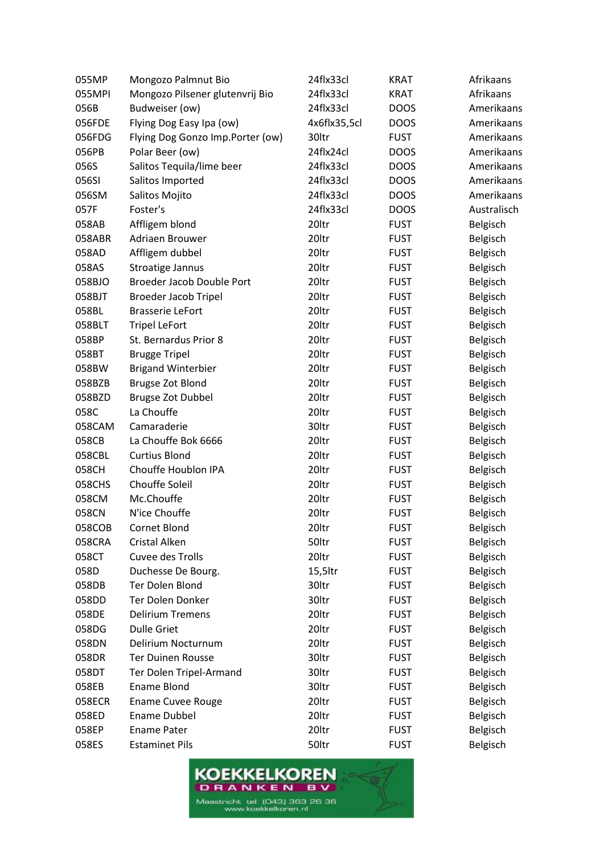| 055MP  | Mongozo Palmnut Bio              | 24flx33cl    | <b>KRAT</b> | Afrikaans   |
|--------|----------------------------------|--------------|-------------|-------------|
| 055MPI | Mongozo Pilsener glutenvrij Bio  | 24flx33cl    | <b>KRAT</b> | Afrikaans   |
| 056B   | Budweiser (ow)                   | 24flx33cl    | <b>DOOS</b> | Amerikaans  |
| 056FDE | Flying Dog Easy Ipa (ow)         | 4x6flx35,5cl | <b>DOOS</b> | Amerikaans  |
| 056FDG | Flying Dog Gonzo Imp.Porter (ow) | 30ltr        | <b>FUST</b> | Amerikaans  |
| 056PB  | Polar Beer (ow)                  | 24flx24cl    | <b>DOOS</b> | Amerikaans  |
| 056S   | Salitos Tequila/lime beer        | 24flx33cl    | <b>DOOS</b> | Amerikaans  |
| 056SI  | Salitos Imported                 | 24flx33cl    | <b>DOOS</b> | Amerikaans  |
| 056SM  | Salitos Mojito                   | 24flx33cl    | <b>DOOS</b> | Amerikaans  |
| 057F   | Foster's                         | 24flx33cl    | <b>DOOS</b> | Australisch |
| 058AB  | Affligem blond                   | 20ltr        | <b>FUST</b> | Belgisch    |
| 058ABR | Adriaen Brouwer                  | 20ltr        | <b>FUST</b> | Belgisch    |
| 058AD  | Affligem dubbel                  | 20ltr        | <b>FUST</b> | Belgisch    |
| 058AS  | <b>Stroatige Jannus</b>          | 20ltr        | <b>FUST</b> | Belgisch    |
| 058BJO | <b>Broeder Jacob Double Port</b> | 20ltr        | <b>FUST</b> | Belgisch    |
| 058BJT | <b>Broeder Jacob Tripel</b>      | 20ltr        | <b>FUST</b> | Belgisch    |
| 058BL  | <b>Brasserie LeFort</b>          | 20ltr        | <b>FUST</b> | Belgisch    |
| 058BLT | <b>Tripel LeFort</b>             | 20ltr        | <b>FUST</b> | Belgisch    |
| 058BP  | St. Bernardus Prior 8            | 20ltr        | <b>FUST</b> | Belgisch    |
| 058BT  | <b>Brugge Tripel</b>             | 20ltr        | <b>FUST</b> | Belgisch    |
| 058BW  | <b>Brigand Winterbier</b>        | 20ltr        | <b>FUST</b> | Belgisch    |
| 058BZB | Brugse Zot Blond                 | 20ltr        | <b>FUST</b> | Belgisch    |
| 058BZD | <b>Brugse Zot Dubbel</b>         | 20ltr        | <b>FUST</b> | Belgisch    |
| 058C   | La Chouffe                       | 20ltr        | <b>FUST</b> | Belgisch    |
| 058CAM | Camaraderie                      | 30ltr        | <b>FUST</b> | Belgisch    |
| 058CB  | La Chouffe Bok 6666              | 20ltr        | <b>FUST</b> | Belgisch    |
| 058CBL | <b>Curtius Blond</b>             | 20ltr        | <b>FUST</b> | Belgisch    |
| 058CH  | Chouffe Houblon IPA              | 20ltr        | <b>FUST</b> | Belgisch    |
| 058CHS | Chouffe Soleil                   | 20ltr        | <b>FUST</b> | Belgisch    |
| 058CM  | Mc.Chouffe                       | 20ltr        | <b>FUST</b> | Belgisch    |
| 058CN  | N'ice Chouffe                    | 20ltr        | <b>FUST</b> | Belgisch    |
| 058COB | Cornet Blond                     | 20ltr        | <b>FUST</b> | Belgisch    |
| 058CRA | Cristal Alken                    | 50ltr        | <b>FUST</b> | Belgisch    |
| 058CT  | Cuvee des Trolls                 | 20ltr        | <b>FUST</b> | Belgisch    |
| 058D   | Duchesse De Bourg.               | 15,5ltr      | <b>FUST</b> | Belgisch    |
| 058DB  | Ter Dolen Blond                  | 30ltr        | <b>FUST</b> | Belgisch    |
| 058DD  | Ter Dolen Donker                 | 30ltr        | <b>FUST</b> | Belgisch    |
| 058DE  | <b>Delirium Tremens</b>          | 20ltr        | <b>FUST</b> | Belgisch    |
| 058DG  | <b>Dulle Griet</b>               | 20ltr        | <b>FUST</b> | Belgisch    |
| 058DN  | Delirium Nocturnum               | 20ltr        | <b>FUST</b> | Belgisch    |
| 058DR  | <b>Ter Duinen Rousse</b>         | 30ltr        | <b>FUST</b> | Belgisch    |
| 058DT  | Ter Dolen Tripel-Armand          | 30ltr        | <b>FUST</b> | Belgisch    |
| 058EB  | <b>Ename Blond</b>               | 30ltr        | <b>FUST</b> | Belgisch    |
| 058ECR | <b>Ename Cuvee Rouge</b>         | 20ltr        | <b>FUST</b> | Belgisch    |
| 058ED  | <b>Ename Dubbel</b>              | 20ltr        | <b>FUST</b> | Belgisch    |
| 058EP  | <b>Ename Pater</b>               | 20ltr        | <b>FUST</b> | Belgisch    |
| 058ES  | <b>Estaminet Pils</b>            | 50ltr        | <b>FUST</b> | Belgisch    |

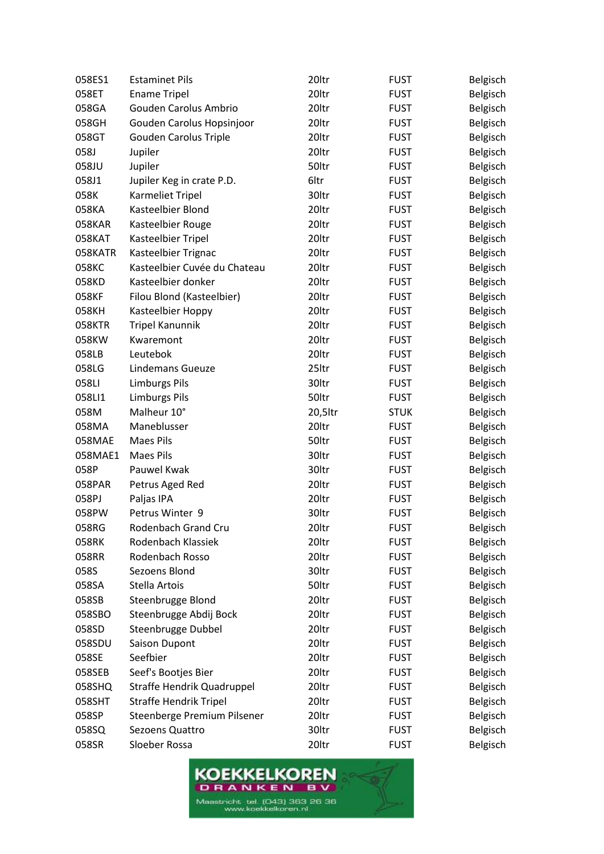| 058ES1  | <b>Estaminet Pils</b>         | 20ltr   | <b>FUST</b> | Belgisch |
|---------|-------------------------------|---------|-------------|----------|
| 058ET   | <b>Ename Tripel</b>           | 20ltr   | <b>FUST</b> | Belgisch |
| 058GA   | Gouden Carolus Ambrio         | 20ltr   | <b>FUST</b> | Belgisch |
| 058GH   | Gouden Carolus Hopsinjoor     | 20ltr   | <b>FUST</b> | Belgisch |
| 058GT   | Gouden Carolus Triple         | 20ltr   | <b>FUST</b> | Belgisch |
| 058J    | Jupiler                       | 20ltr   | <b>FUST</b> | Belgisch |
| 058JU   | Jupiler                       | 50ltr   | <b>FUST</b> | Belgisch |
| 058J1   | Jupiler Keg in crate P.D.     | 6ltr    | <b>FUST</b> | Belgisch |
| 058K    | Karmeliet Tripel              | 30ltr   | <b>FUST</b> | Belgisch |
| 058KA   | Kasteelbier Blond             | 20ltr   | <b>FUST</b> | Belgisch |
| 058KAR  | Kasteelbier Rouge             | 20ltr   | <b>FUST</b> | Belgisch |
| 058KAT  | Kasteelbier Tripel            | 20ltr   | <b>FUST</b> | Belgisch |
| 058KATR | Kasteelbier Trignac           | 20ltr   | <b>FUST</b> | Belgisch |
| 058KC   | Kasteelbier Cuvée du Chateau  | 20ltr   | <b>FUST</b> | Belgisch |
| 058KD   | Kasteelbier donker            | 20ltr   | <b>FUST</b> | Belgisch |
| 058KF   | Filou Blond (Kasteelbier)     | 20ltr   | <b>FUST</b> | Belgisch |
| 058KH   | Kasteelbier Hoppy             | 20ltr   | <b>FUST</b> | Belgisch |
| 058KTR  | <b>Tripel Kanunnik</b>        | 20ltr   | <b>FUST</b> | Belgisch |
| 058KW   | Kwaremont                     | 20ltr   | <b>FUST</b> | Belgisch |
| 058LB   | Leutebok                      | 20ltr   | <b>FUST</b> | Belgisch |
| 058LG   | Lindemans Gueuze              | 25ltr   | <b>FUST</b> | Belgisch |
| 058LI   | <b>Limburgs Pils</b>          | 30ltr   | <b>FUST</b> | Belgisch |
| 058LI1  | <b>Limburgs Pils</b>          | 50ltr   | <b>FUST</b> | Belgisch |
| 058M    | Malheur 10°                   | 20,5ltr | <b>STUK</b> | Belgisch |
| 058MA   | Maneblusser                   | 20ltr   | <b>FUST</b> | Belgisch |
| 058MAE  | <b>Maes Pils</b>              | 50ltr   | <b>FUST</b> | Belgisch |
| 058MAE1 | <b>Maes Pils</b>              | 30ltr   | <b>FUST</b> | Belgisch |
| 058P    | Pauwel Kwak                   | 30ltr   | <b>FUST</b> | Belgisch |
| 058PAR  | Petrus Aged Red               | 20ltr   | <b>FUST</b> | Belgisch |
| 058PJ   | Paljas IPA                    | 20ltr   | <b>FUST</b> | Belgisch |
| 058PW   | Petrus Winter 9               | 30ltr   | <b>FUST</b> | Belgisch |
| 058RG   | Rodenbach Grand Cru           | 20ltr   | <b>FUST</b> | Belgisch |
| 058RK   | Rodenbach Klassiek            | 20ltr   | <b>FUST</b> | Belgisch |
| 058RR   | Rodenbach Rosso               | 20ltr   | <b>FUST</b> | Belgisch |
| 058S    | Sezoens Blond                 | 30ltr   | <b>FUST</b> | Belgisch |
| 058SA   | Stella Artois                 | 50ltr   | <b>FUST</b> | Belgisch |
| 058SB   | Steenbrugge Blond             | 20ltr   | <b>FUST</b> | Belgisch |
| 058SBO  | Steenbrugge Abdij Bock        | 20ltr   | <b>FUST</b> | Belgisch |
| 058SD   | Steenbrugge Dubbel            | 20ltr   | <b>FUST</b> | Belgisch |
| 058SDU  | <b>Saison Dupont</b>          | 20ltr   | <b>FUST</b> | Belgisch |
| 058SE   | Seefbier                      | 20ltr   | <b>FUST</b> | Belgisch |
| 058SEB  | Seef's Bootjes Bier           | 20ltr   | <b>FUST</b> | Belgisch |
| 058SHQ  | Straffe Hendrik Quadruppel    | 20ltr   | <b>FUST</b> | Belgisch |
| 058SHT  | <b>Straffe Hendrik Tripel</b> | 20ltr   | <b>FUST</b> | Belgisch |
| 058SP   | Steenberge Premium Pilsener   | 20ltr   | <b>FUST</b> | Belgisch |
| 058SQ   | Sezoens Quattro               | 30ltr   | <b>FUST</b> | Belgisch |
| 058SR   | Sloeber Rossa                 | 20ltr   | <b>FUST</b> | Belgisch |

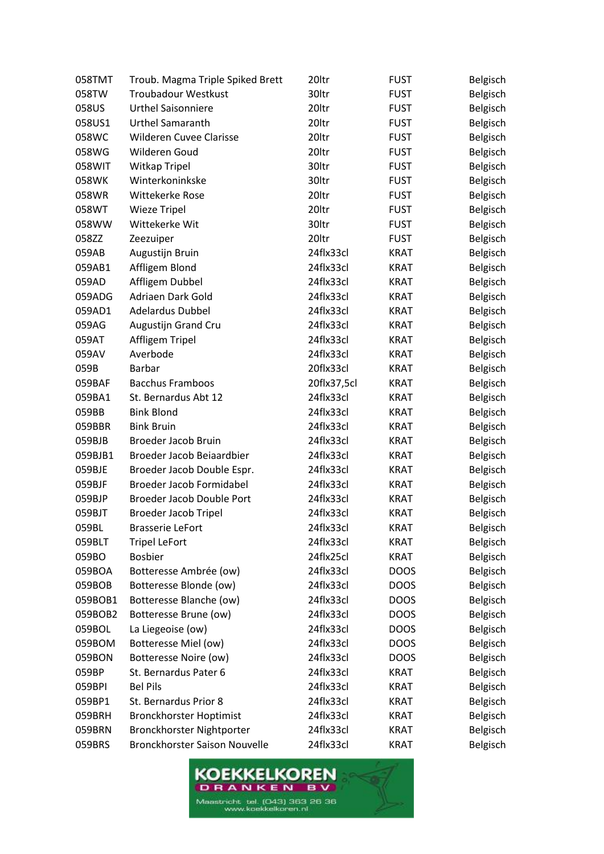| 058TMT  | Troub. Magma Triple Spiked Brett | 20ltr       | <b>FUST</b> | Belgisch |
|---------|----------------------------------|-------------|-------------|----------|
| 058TW   | <b>Troubadour Westkust</b>       | 30ltr       | <b>FUST</b> | Belgisch |
| 058US   | <b>Urthel Saisonniere</b>        | 20ltr       | <b>FUST</b> | Belgisch |
| 058US1  | <b>Urthel Samaranth</b>          | 20ltr       | <b>FUST</b> | Belgisch |
| 058WC   | Wilderen Cuvee Clarisse          | 20ltr       | <b>FUST</b> | Belgisch |
| 058WG   | Wilderen Goud                    | 20ltr       | <b>FUST</b> | Belgisch |
| 058WIT  | Witkap Tripel                    | 30ltr       | <b>FUST</b> | Belgisch |
| 058WK   | Winterkoninkske                  | 30ltr       | <b>FUST</b> | Belgisch |
| 058WR   | Wittekerke Rose                  | 20ltr       | <b>FUST</b> | Belgisch |
| 058WT   | <b>Wieze Tripel</b>              | 20ltr       | <b>FUST</b> | Belgisch |
| 058WW   | Wittekerke Wit                   | 30ltr       | <b>FUST</b> | Belgisch |
| 058ZZ   | Zeezuiper                        | 20ltr       | <b>FUST</b> | Belgisch |
| 059AB   | Augustijn Bruin                  | 24flx33cl   | KRAT        | Belgisch |
| 059AB1  | Affligem Blond                   | 24flx33cl   | KRAT        | Belgisch |
| 059AD   | Affligem Dubbel                  | 24flx33cl   | <b>KRAT</b> | Belgisch |
| 059ADG  | Adriaen Dark Gold                | 24flx33cl   | <b>KRAT</b> | Belgisch |
| 059AD1  | <b>Adelardus Dubbel</b>          | 24flx33cl   | <b>KRAT</b> | Belgisch |
| 059AG   | Augustijn Grand Cru              | 24flx33cl   | <b>KRAT</b> | Belgisch |
| 059AT   | Affligem Tripel                  | 24flx33cl   | <b>KRAT</b> | Belgisch |
| 059AV   | Averbode                         | 24flx33cl   | <b>KRAT</b> | Belgisch |
| 059B    | <b>Barbar</b>                    | 20flx33cl   | <b>KRAT</b> | Belgisch |
| 059BAF  | <b>Bacchus Framboos</b>          | 20flx37,5cl | KRAT        | Belgisch |
| 059BA1  | St. Bernardus Abt 12             | 24flx33cl   | KRAT        | Belgisch |
| 059BB   | <b>Bink Blond</b>                | 24flx33cl   | <b>KRAT</b> | Belgisch |
| 059BBR  | <b>Bink Bruin</b>                | 24flx33cl   | <b>KRAT</b> | Belgisch |
| 059BJB  | <b>Broeder Jacob Bruin</b>       | 24flx33cl   | <b>KRAT</b> | Belgisch |
| 059BJB1 | Broeder Jacob Beiaardbier        | 24flx33cl   | KRAT        | Belgisch |
| 059BJE  | Broeder Jacob Double Espr.       | 24flx33cl   | <b>KRAT</b> | Belgisch |
| 059BJF  | <b>Broeder Jacob Formidabel</b>  | 24flx33cl   | KRAT        | Belgisch |
| 059BJP  | Broeder Jacob Double Port        | 24flx33cl   | <b>KRAT</b> | Belgisch |
| 059BJT  | <b>Broeder Jacob Tripel</b>      | 24flx33cl   | <b>KRAT</b> | Belgisch |
| 059BL   | <b>Brasserie LeFort</b>          | 24flx33cl   | <b>KRAT</b> | Belgisch |
| 059BLT  | <b>Tripel LeFort</b>             | 24flx33cl   | <b>KRAT</b> | Belgisch |
| 059BO   | <b>Bosbier</b>                   | 24flx25cl   | <b>KRAT</b> | Belgisch |
| 059BOA  | Botteresse Ambrée (ow)           | 24flx33cl   | <b>DOOS</b> | Belgisch |
| 059BOB  | Botteresse Blonde (ow)           | 24flx33cl   | <b>DOOS</b> | Belgisch |
| 059BOB1 | Botteresse Blanche (ow)          | 24flx33cl   | <b>DOOS</b> | Belgisch |
| 059BOB2 | Botteresse Brune (ow)            | 24flx33cl   | <b>DOOS</b> | Belgisch |
| 059BOL  | La Liegeoise (ow)                | 24flx33cl   | <b>DOOS</b> | Belgisch |
| 059BOM  | <b>Botteresse Miel (ow)</b>      | 24flx33cl   | <b>DOOS</b> | Belgisch |
| 059BON  | <b>Botteresse Noire (ow)</b>     | 24flx33cl   | <b>DOOS</b> | Belgisch |
| 059BP   | St. Bernardus Pater 6            | 24flx33cl   | <b>KRAT</b> | Belgisch |
| 059BPI  | <b>Bel Pils</b>                  | 24flx33cl   | <b>KRAT</b> | Belgisch |
| 059BP1  | St. Bernardus Prior 8            | 24flx33cl   | <b>KRAT</b> | Belgisch |
| 059BRH  | <b>Bronckhorster Hoptimist</b>   | 24flx33cl   | <b>KRAT</b> | Belgisch |
| 059BRN  | Bronckhorster Nightporter        | 24flx33cl   | <b>KRAT</b> | Belgisch |
| 059BRS  | Bronckhorster Saison Nouvelle    | 24flx33cl   | <b>KRAT</b> | Belgisch |

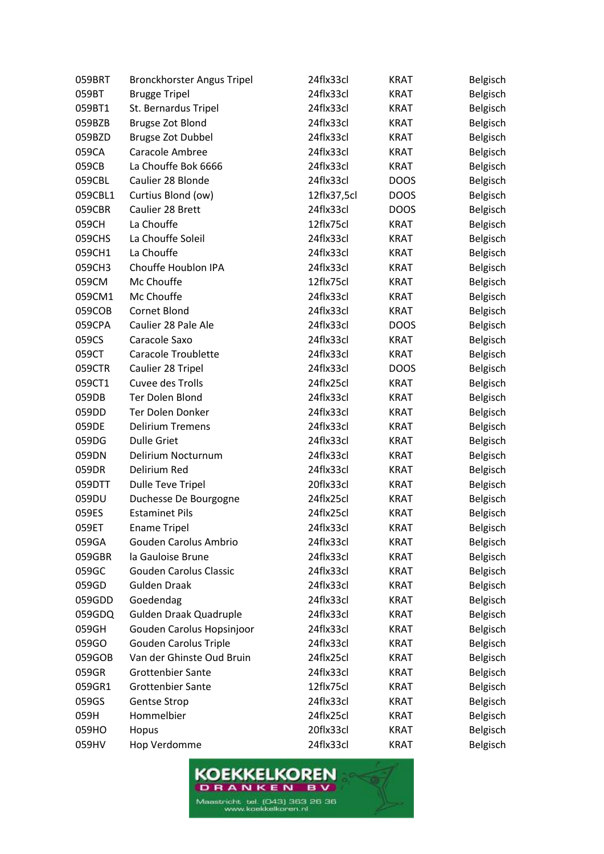| 059BRT  | Bronckhorster Angus Tripel    | 24flx33cl   | <b>KRAT</b> | Belgisch |
|---------|-------------------------------|-------------|-------------|----------|
| 059BT   | <b>Brugge Tripel</b>          | 24flx33cl   | <b>KRAT</b> | Belgisch |
| 059BT1  | St. Bernardus Tripel          | 24flx33cl   | <b>KRAT</b> | Belgisch |
| 059BZB  | Brugse Zot Blond              | 24flx33cl   | <b>KRAT</b> | Belgisch |
| 059BZD  | <b>Brugse Zot Dubbel</b>      | 24flx33cl   | <b>KRAT</b> | Belgisch |
| 059CA   | Caracole Ambree               | 24flx33cl   | <b>KRAT</b> | Belgisch |
| 059CB   | La Chouffe Bok 6666           | 24flx33cl   | <b>KRAT</b> | Belgisch |
| 059CBL  | Caulier 28 Blonde             | 24flx33cl   | <b>DOOS</b> | Belgisch |
| 059CBL1 | Curtius Blond (ow)            | 12flx37,5cl | <b>DOOS</b> | Belgisch |
| 059CBR  | Caulier 28 Brett              | 24flx33cl   | <b>DOOS</b> | Belgisch |
| 059CH   | La Chouffe                    | 12flx75cl   | <b>KRAT</b> | Belgisch |
| 059CHS  | La Chouffe Soleil             | 24flx33cl   | <b>KRAT</b> | Belgisch |
| 059CH1  | La Chouffe                    | 24flx33cl   | <b>KRAT</b> | Belgisch |
| 059CH3  | Chouffe Houblon IPA           | 24flx33cl   | <b>KRAT</b> | Belgisch |
| 059CM   | Mc Chouffe                    | 12flx75cl   | <b>KRAT</b> | Belgisch |
| 059CM1  | Mc Chouffe                    | 24flx33cl   | <b>KRAT</b> | Belgisch |
| 059COB  | Cornet Blond                  | 24flx33cl   | <b>KRAT</b> | Belgisch |
| 059CPA  | Caulier 28 Pale Ale           | 24flx33cl   | <b>DOOS</b> | Belgisch |
| 059CS   | Caracole Saxo                 | 24flx33cl   | <b>KRAT</b> | Belgisch |
| 059CT   | Caracole Troublette           | 24flx33cl   | <b>KRAT</b> | Belgisch |
| 059CTR  | Caulier 28 Tripel             | 24flx33cl   | <b>DOOS</b> | Belgisch |
| 059CT1  | Cuvee des Trolls              | 24flx25cl   | <b>KRAT</b> | Belgisch |
| 059DB   | Ter Dolen Blond               | 24flx33cl   | KRAT        | Belgisch |
| 059DD   | Ter Dolen Donker              | 24flx33cl   | <b>KRAT</b> | Belgisch |
| 059DE   | <b>Delirium Tremens</b>       | 24flx33cl   | <b>KRAT</b> | Belgisch |
| 059DG   | <b>Dulle Griet</b>            | 24flx33cl   | <b>KRAT</b> | Belgisch |
| 059DN   | Delirium Nocturnum            | 24flx33cl   | KRAT        | Belgisch |
| 059DR   | Delirium Red                  | 24flx33cl   | <b>KRAT</b> | Belgisch |
| 059DTT  | Dulle Teve Tripel             | 20flx33cl   | KRAT        | Belgisch |
| 059DU   | Duchesse De Bourgogne         | 24flx25cl   | <b>KRAT</b> | Belgisch |
| 059ES   | <b>Estaminet Pils</b>         | 24flx25cl   | <b>KRAT</b> | Belgisch |
| 059ET   | <b>Ename Tripel</b>           | 24flx33cl   | <b>KRAT</b> | Belgisch |
| 059GA   | Gouden Carolus Ambrio         | 24flx33cl   | <b>KRAT</b> | Belgisch |
| 059GBR  | la Gauloise Brune             | 24flx33cl   | <b>KRAT</b> | Belgisch |
| 059GC   | <b>Gouden Carolus Classic</b> | 24flx33cl   | KRAT        | Belgisch |
| 059GD   | <b>Gulden Draak</b>           | 24flx33cl   | <b>KRAT</b> | Belgisch |
| 059GDD  | Goedendag                     | 24flx33cl   | <b>KRAT</b> | Belgisch |
| 059GDQ  | Gulden Draak Quadruple        | 24flx33cl   | <b>KRAT</b> | Belgisch |
| 059GH   | Gouden Carolus Hopsinjoor     | 24flx33cl   | <b>KRAT</b> | Belgisch |
| 059GO   | <b>Gouden Carolus Triple</b>  | 24flx33cl   | <b>KRAT</b> | Belgisch |
| 059GOB  | Van der Ghinste Oud Bruin     | 24flx25cl   | <b>KRAT</b> | Belgisch |
| 059GR   | <b>Grottenbier Sante</b>      | 24flx33cl   | <b>KRAT</b> | Belgisch |
| 059GR1  | <b>Grottenbier Sante</b>      | 12flx75cl   | KRAT        | Belgisch |
| 059GS   | Gentse Strop                  | 24flx33cl   | <b>KRAT</b> | Belgisch |
| 059H    | Hommelbier                    | 24flx25cl   | <b>KRAT</b> | Belgisch |
| 059HO   | Hopus                         | 20flx33cl   | <b>KRAT</b> | Belgisch |
| 059HV   | Hop Verdomme                  | 24flx33cl   | <b>KRAT</b> | Belgisch |

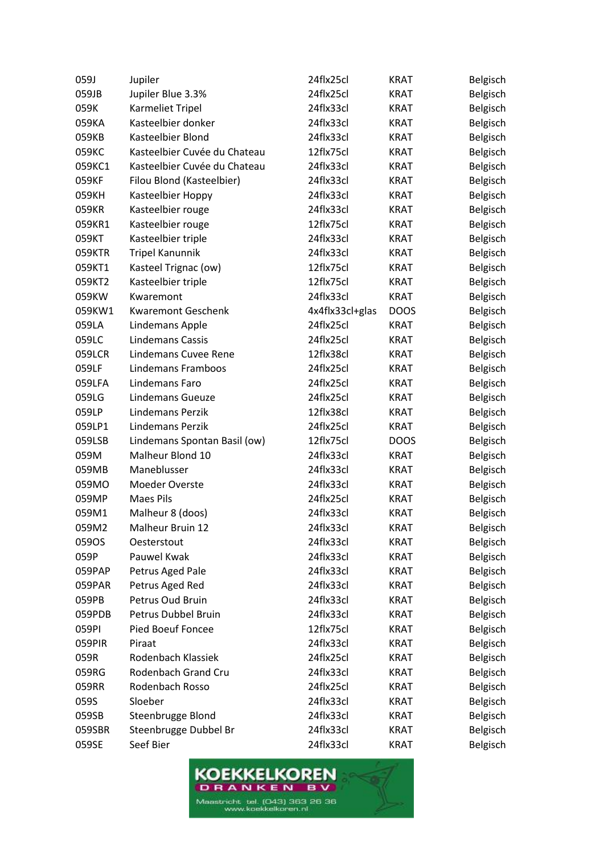| 059J   | Jupiler                      | 24flx25cl       | <b>KRAT</b> | Belgisch |
|--------|------------------------------|-----------------|-------------|----------|
| 059JB  | Jupiler Blue 3.3%            | 24flx25cl       | <b>KRAT</b> | Belgisch |
| 059K   | Karmeliet Tripel             | 24flx33cl       | <b>KRAT</b> | Belgisch |
| 059KA  | Kasteelbier donker           | 24flx33cl       | <b>KRAT</b> | Belgisch |
| 059KB  | Kasteelbier Blond            | 24flx33cl       | <b>KRAT</b> | Belgisch |
| 059KC  | Kasteelbier Cuvée du Chateau | 12flx75cl       | KRAT        | Belgisch |
| 059KC1 | Kasteelbier Cuvée du Chateau | 24flx33cl       | <b>KRAT</b> | Belgisch |
| 059KF  | Filou Blond (Kasteelbier)    | 24flx33cl       | <b>KRAT</b> | Belgisch |
| 059KH  | Kasteelbier Hoppy            | 24flx33cl       | <b>KRAT</b> | Belgisch |
| 059KR  | Kasteelbier rouge            | 24flx33cl       | <b>KRAT</b> | Belgisch |
| 059KR1 | Kasteelbier rouge            | 12flx75cl       | <b>KRAT</b> | Belgisch |
| 059KT  | Kasteelbier triple           | 24flx33cl       | <b>KRAT</b> | Belgisch |
| 059KTR | <b>Tripel Kanunnik</b>       | 24flx33cl       | <b>KRAT</b> | Belgisch |
| 059KT1 | Kasteel Trignac (ow)         | 12flx75cl       | KRAT        | Belgisch |
| 059KT2 | Kasteelbier triple           | 12flx75cl       | <b>KRAT</b> | Belgisch |
| 059KW  | Kwaremont                    | 24flx33cl       | <b>KRAT</b> | Belgisch |
| 059KW1 | <b>Kwaremont Geschenk</b>    | 4x4flx33cl+glas | <b>DOOS</b> | Belgisch |
| 059LA  | <b>Lindemans Apple</b>       | 24flx25cl       | <b>KRAT</b> | Belgisch |
| 059LC  | <b>Lindemans Cassis</b>      | 24flx25cl       | <b>KRAT</b> | Belgisch |
| 059LCR | Lindemans Cuvee Rene         | 12flx38cl       | <b>KRAT</b> | Belgisch |
| 059LF  | Lindemans Framboos           | 24flx25cl       | <b>KRAT</b> | Belgisch |
| 059LFA | Lindemans Faro               | 24flx25cl       | KRAT        | Belgisch |
| 059LG  | <b>Lindemans Gueuze</b>      | 24flx25cl       | <b>KRAT</b> | Belgisch |
| 059LP  | <b>Lindemans Perzik</b>      | 12flx38cl       | <b>KRAT</b> | Belgisch |
| 059LP1 | Lindemans Perzik             | 24flx25cl       | <b>KRAT</b> | Belgisch |
| 059LSB | Lindemans Spontan Basil (ow) | 12flx75cl       | <b>DOOS</b> | Belgisch |
| 059M   | Malheur Blond 10             | 24flx33cl       | <b>KRAT</b> | Belgisch |
| 059MB  | Maneblusser                  | 24flx33cl       | <b>KRAT</b> | Belgisch |
| 059MO  | Moeder Overste               | 24flx33cl       | <b>KRAT</b> | Belgisch |
| 059MP  | <b>Maes Pils</b>             | 24flx25cl       | <b>KRAT</b> | Belgisch |
| 059M1  | Malheur 8 (doos)             | 24flx33cl       | <b>KRAT</b> | Belgisch |
| 059M2  | Malheur Bruin 12             | 24flx33cl       | <b>KRAT</b> | Belgisch |
| 059OS  | Oesterstout                  | 24flx33cl       | <b>KRAT</b> | Belgisch |
| 059P   | Pauwel Kwak                  | 24flx33cl       | <b>KRAT</b> | Belgisch |
| 059PAP | Petrus Aged Pale             | 24flx33cl       | KRAT        | Belgisch |
| 059PAR | Petrus Aged Red              | 24flx33cl       | <b>KRAT</b> | Belgisch |
| 059PB  | Petrus Oud Bruin             | 24flx33cl       | <b>KRAT</b> | Belgisch |
| 059PDB | Petrus Dubbel Bruin          | 24flx33cl       | KRAT        | Belgisch |
| 059PI  | <b>Pied Boeuf Foncee</b>     | 12flx75cl       | <b>KRAT</b> | Belgisch |
| 059PIR | Piraat                       | 24flx33cl       | <b>KRAT</b> | Belgisch |
| 059R   | Rodenbach Klassiek           | 24flx25cl       | <b>KRAT</b> | Belgisch |
| 059RG  | Rodenbach Grand Cru          | 24flx33cl       | <b>KRAT</b> | Belgisch |
| 059RR  | Rodenbach Rosso              | 24flx25cl       | <b>KRAT</b> | Belgisch |
| 059S   | Sloeber                      | 24flx33cl       | <b>KRAT</b> | Belgisch |
| 059SB  | Steenbrugge Blond            | 24flx33cl       | <b>KRAT</b> | Belgisch |
| 059SBR | Steenbrugge Dubbel Br        | 24flx33cl       | <b>KRAT</b> | Belgisch |
| 059SE  | Seef Bier                    | 24flx33cl       | <b>KRAT</b> | Belgisch |

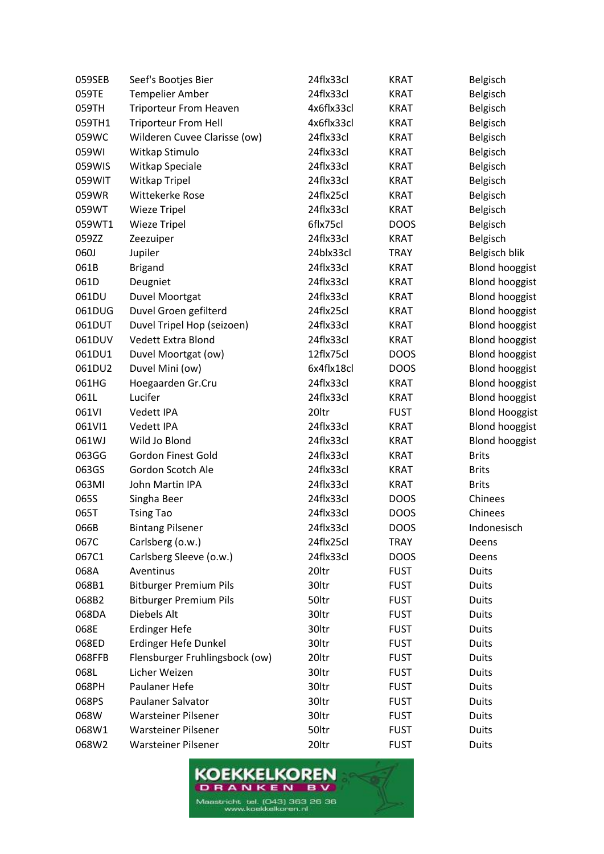| 059SEB | Seef's Bootjes Bier            | 24flx33cl  | <b>KRAT</b> | Belgisch              |
|--------|--------------------------------|------------|-------------|-----------------------|
| 059TE  | <b>Tempelier Amber</b>         | 24flx33cl  | <b>KRAT</b> | Belgisch              |
| 059TH  | <b>Triporteur From Heaven</b>  | 4x6flx33cl | <b>KRAT</b> | Belgisch              |
| 059TH1 | <b>Triporteur From Hell</b>    | 4x6flx33cl | <b>KRAT</b> | Belgisch              |
| 059WC  | Wilderen Cuvee Clarisse (ow)   | 24flx33cl  | <b>KRAT</b> | Belgisch              |
| 059WI  | Witkap Stimulo                 | 24flx33cl  | <b>KRAT</b> | Belgisch              |
| 059WIS | Witkap Speciale                | 24flx33cl  | <b>KRAT</b> | Belgisch              |
| 059WIT | <b>Witkap Tripel</b>           | 24flx33cl  | <b>KRAT</b> | Belgisch              |
| 059WR  | Wittekerke Rose                | 24flx25cl  | <b>KRAT</b> | Belgisch              |
| 059WT  | <b>Wieze Tripel</b>            | 24flx33cl  | <b>KRAT</b> | Belgisch              |
| 059WT1 | <b>Wieze Tripel</b>            | 6flx75cl   | <b>DOOS</b> | Belgisch              |
| 059ZZ  | Zeezuiper                      | 24flx33cl  | <b>KRAT</b> | Belgisch              |
| 060J   | Jupiler                        | 24blx33cl  | <b>TRAY</b> | Belgisch blik         |
| 061B   | <b>Brigand</b>                 | 24flx33cl  | <b>KRAT</b> | <b>Blond hooggist</b> |
| 061D   | Deugniet                       | 24flx33cl  | <b>KRAT</b> | <b>Blond hooggist</b> |
| 061DU  | Duvel Moortgat                 | 24flx33cl  | <b>KRAT</b> | <b>Blond hooggist</b> |
| 061DUG | Duvel Groen gefilterd          | 24flx25cl  | <b>KRAT</b> | <b>Blond hooggist</b> |
| 061DUT | Duvel Tripel Hop (seizoen)     | 24flx33cl  | <b>KRAT</b> | <b>Blond hooggist</b> |
| 061DUV | <b>Vedett Extra Blond</b>      | 24flx33cl  | <b>KRAT</b> | <b>Blond hooggist</b> |
| 061DU1 | Duvel Moortgat (ow)            | 12flx75cl  | <b>DOOS</b> | <b>Blond hooggist</b> |
| 061DU2 | Duvel Mini (ow)                | 6x4flx18cl | <b>DOOS</b> | <b>Blond hooggist</b> |
| 061HG  | Hoegaarden Gr.Cru              | 24flx33cl  | <b>KRAT</b> | <b>Blond hooggist</b> |
| 061L   | Lucifer                        | 24flx33cl  | <b>KRAT</b> | <b>Blond hooggist</b> |
| 061VI  | Vedett IPA                     | 20ltr      | <b>FUST</b> | <b>Blond Hooggist</b> |
| 061VI1 | Vedett IPA                     | 24flx33cl  | <b>KRAT</b> | <b>Blond hooggist</b> |
| 061WJ  | Wild Jo Blond                  | 24flx33cl  | <b>KRAT</b> | <b>Blond hooggist</b> |
| 063GG  | <b>Gordon Finest Gold</b>      | 24flx33cl  | <b>KRAT</b> | <b>Brits</b>          |
| 063GS  | Gordon Scotch Ale              | 24flx33cl  | <b>KRAT</b> | <b>Brits</b>          |
| 063MI  | John Martin IPA                | 24flx33cl  | <b>KRAT</b> | <b>Brits</b>          |
| 065S   | Singha Beer                    | 24flx33cl  | <b>DOOS</b> | Chinees               |
| 065T   | <b>Tsing Tao</b>               | 24flx33cl  | <b>DOOS</b> | Chinees               |
| 066B   | <b>Bintang Pilsener</b>        | 24flx33cl  | <b>DOOS</b> | Indonesisch           |
| 067C   | Carlsberg (o.w.)               | 24flx25cl  | <b>TRAY</b> | Deens                 |
| 067C1  | Carlsberg Sleeve (o.w.)        | 24flx33cl  | <b>DOOS</b> | Deens                 |
| 068A   | Aventinus                      | 20ltr      | <b>FUST</b> | <b>Duits</b>          |
| 068B1  | <b>Bitburger Premium Pils</b>  | 30ltr      | <b>FUST</b> | <b>Duits</b>          |
| 068B2  | <b>Bitburger Premium Pils</b>  | 50ltr      | <b>FUST</b> | <b>Duits</b>          |
| 068DA  | Diebels Alt                    | 30ltr      | <b>FUST</b> | <b>Duits</b>          |
| 068E   | <b>Erdinger Hefe</b>           | 30ltr      | <b>FUST</b> | <b>Duits</b>          |
| 068ED  | Erdinger Hefe Dunkel           | 30ltr      | <b>FUST</b> | <b>Duits</b>          |
| 068FFB | Flensburger Fruhlingsbock (ow) | 20ltr      | <b>FUST</b> | <b>Duits</b>          |
| 068L   | Licher Weizen                  | 30ltr      | <b>FUST</b> | <b>Duits</b>          |
| 068PH  | Paulaner Hefe                  | 30ltr      | <b>FUST</b> | <b>Duits</b>          |
| 068PS  | Paulaner Salvator              | 30ltr      | <b>FUST</b> | <b>Duits</b>          |
| 068W   | <b>Warsteiner Pilsener</b>     | 30ltr      | <b>FUST</b> | <b>Duits</b>          |
| 068W1  | Warsteiner Pilsener            | 50ltr      | <b>FUST</b> | <b>Duits</b>          |
| 068W2  | Warsteiner Pilsener            | 20ltr      | <b>FUST</b> | <b>Duits</b>          |

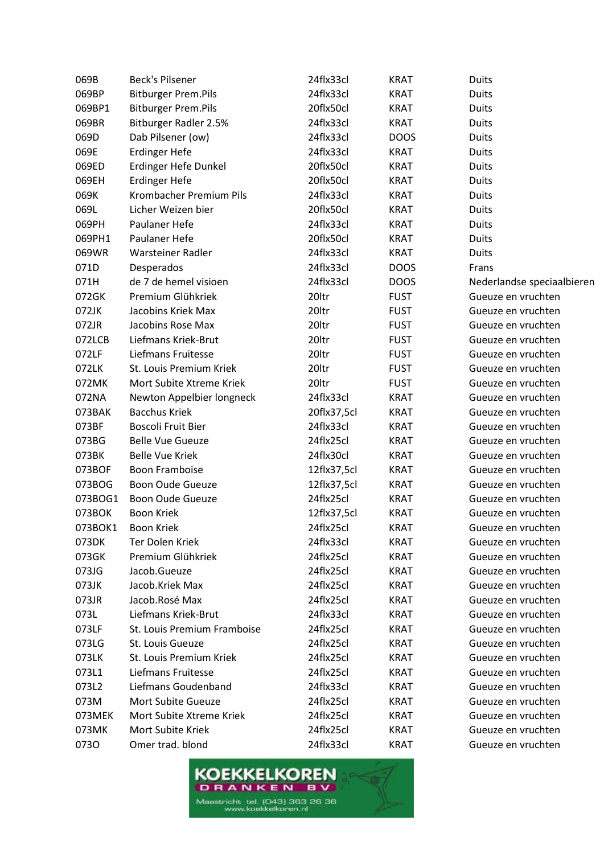| 069B    | <b>Beck's Pilsener</b>       | 24flx33cl   | <b>KRAT</b> | <b>Duits</b>               |
|---------|------------------------------|-------------|-------------|----------------------------|
| 069BP   | <b>Bitburger Prem.Pils</b>   | 24flx33cl   | <b>KRAT</b> | <b>Duits</b>               |
| 069BP1  | <b>Bitburger Prem.Pils</b>   | 20flx50cl   | <b>KRAT</b> | <b>Duits</b>               |
| 069BR   | <b>Bitburger Radler 2.5%</b> | 24flx33cl   | <b>KRAT</b> | <b>Duits</b>               |
| 069D    | Dab Pilsener (ow)            | 24flx33cl   | <b>DOOS</b> | <b>Duits</b>               |
| 069E    | <b>Erdinger Hefe</b>         | 24flx33cl   | <b>KRAT</b> | Duits                      |
| 069ED   | Erdinger Hefe Dunkel         | 20flx50cl   | <b>KRAT</b> | <b>Duits</b>               |
| 069EH   | <b>Erdinger Hefe</b>         | 20flx50cl   | <b>KRAT</b> | <b>Duits</b>               |
| 069K    | Krombacher Premium Pils      | 24flx33cl   | <b>KRAT</b> | <b>Duits</b>               |
| 069L    | Licher Weizen bier           | 20flx50cl   | <b>KRAT</b> | <b>Duits</b>               |
| 069PH   | Paulaner Hefe                | 24flx33cl   | <b>KRAT</b> | Duits                      |
| 069PH1  | Paulaner Hefe                | 20flx50cl   | <b>KRAT</b> | Duits                      |
| 069WR   | Warsteiner Radler            | 24flx33cl   | <b>KRAT</b> | <b>Duits</b>               |
| 071D    | Desperados                   | 24flx33cl   | <b>DOOS</b> | Frans                      |
| 071H    | de 7 de hemel visioen        | 24flx33cl   | <b>DOOS</b> | Nederlandse speciaalbieren |
| 072GK   | Premium Glühkriek            | 20ltr       | <b>FUST</b> | Gueuze en vruchten         |
| 072JK   | Jacobins Kriek Max           | 20ltr       | <b>FUST</b> | Gueuze en vruchten         |
| 072JR   | Jacobins Rose Max            | 20ltr       | <b>FUST</b> | Gueuze en vruchten         |
| 072LCB  | Liefmans Kriek-Brut          | 20ltr       | <b>FUST</b> | Gueuze en vruchten         |
| 072LF   | Liefmans Fruitesse           | 20ltr       | <b>FUST</b> | Gueuze en vruchten         |
| 072LK   | St. Louis Premium Kriek      | 20ltr       | <b>FUST</b> | Gueuze en vruchten         |
| 072MK   | Mort Subite Xtreme Kriek     | 20ltr       | <b>FUST</b> | Gueuze en vruchten         |
| 072NA   | Newton Appelbier longneck    | 24flx33cl   | <b>KRAT</b> | Gueuze en vruchten         |
| 073BAK  | <b>Bacchus Kriek</b>         | 20flx37,5cl | <b>KRAT</b> | Gueuze en vruchten         |
| 073BF   | <b>Boscoli Fruit Bier</b>    | 24flx33cl   | <b>KRAT</b> | Gueuze en vruchten         |
| 073BG   | <b>Belle Vue Gueuze</b>      | 24flx25cl   | <b>KRAT</b> | Gueuze en vruchten         |
| 073BK   | <b>Belle Vue Kriek</b>       | 24flx30cl   | <b>KRAT</b> | Gueuze en vruchten         |
| 073BOF  | <b>Boon Framboise</b>        | 12flx37,5cl | <b>KRAT</b> | Gueuze en vruchten         |
| 073BOG  | Boon Oude Gueuze             | 12flx37,5cl | <b>KRAT</b> | Gueuze en vruchten         |
| 073BOG1 | Boon Oude Gueuze             | 24flx25cl   | <b>KRAT</b> | Gueuze en vruchten         |
| 073BOK  | <b>Boon Kriek</b>            | 12flx37,5cl | <b>KRAT</b> | Gueuze en vruchten         |
| 073BOK1 | <b>Boon Kriek</b>            | 24flx25cl   | <b>KRAT</b> | Gueuze en vruchten         |
| 073DK   | Ter Dolen Kriek              | 24flx33cl   | <b>KRAT</b> | Gueuze en vruchten         |
| 073GK   | Premium Glühkriek            | 24flx25cl   | <b>KRAT</b> | Gueuze en vruchten         |
| 073JG   | Jacob.Gueuze                 | 24flx25cl   | <b>KRAT</b> | Gueuze en vruchten         |
| 073JK   | Jacob.Kriek Max              | 24flx25cl   | <b>KRAT</b> | Gueuze en vruchten         |
| 073JR   | Jacob.Rosé Max               | 24flx25cl   | <b>KRAT</b> | Gueuze en vruchten         |
| 073L    | Liefmans Kriek-Brut          | 24flx33cl   | <b>KRAT</b> | Gueuze en vruchten         |
| 073LF   | St. Louis Premium Framboise  | 24flx25cl   | <b>KRAT</b> | Gueuze en vruchten         |
| 073LG   | St. Louis Gueuze             | 24flx25cl   | <b>KRAT</b> | Gueuze en vruchten         |
| 073LK   | St. Louis Premium Kriek      | 24flx25cl   | <b>KRAT</b> | Gueuze en vruchten         |
| 073L1   | Liefmans Fruitesse           | 24flx25cl   | <b>KRAT</b> | Gueuze en vruchten         |
| 073L2   | Liefmans Goudenband          | 24flx33cl   | <b>KRAT</b> | Gueuze en vruchten         |
| 073M    | Mort Subite Gueuze           | 24flx25cl   | <b>KRAT</b> | Gueuze en vruchten         |
| 073MEK  | Mort Subite Xtreme Kriek     | 24flx25cl   | <b>KRAT</b> | Gueuze en vruchten         |
| 073MK   | Mort Subite Kriek            | 24flx25cl   | <b>KRAT</b> | Gueuze en vruchten         |
| 0730    | Omer trad. blond             | 24flx33cl   | <b>KRAT</b> | Gueuze en vruchten         |
|         |                              |             |             |                            |

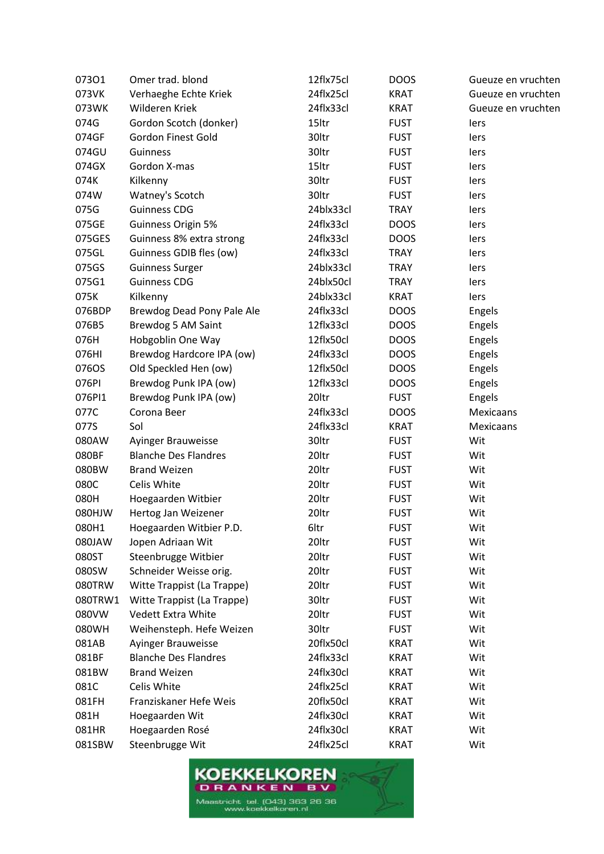| 07301         | Omer trad. blond            | 12flx75cl | <b>DOOS</b> | Gueuze en vruchten |
|---------------|-----------------------------|-----------|-------------|--------------------|
| 073VK         | Verhaeghe Echte Kriek       | 24flx25cl | <b>KRAT</b> | Gueuze en vruchten |
| 073WK         | Wilderen Kriek              | 24flx33cl | <b>KRAT</b> | Gueuze en vruchten |
| 074G          | Gordon Scotch (donker)      | 15ltr     | <b>FUST</b> | lers               |
| 074GF         | <b>Gordon Finest Gold</b>   | 30ltr     | <b>FUST</b> | lers               |
| 074GU         | Guinness                    | 30ltr     | <b>FUST</b> | lers               |
| 074GX         | Gordon X-mas                | 15ltr     | <b>FUST</b> | lers               |
| 074K          | Kilkenny                    | 30ltr     | <b>FUST</b> | lers               |
| 074W          | Watney's Scotch             | 30ltr     | <b>FUST</b> | lers               |
| 075G          | <b>Guinness CDG</b>         | 24blx33cl | <b>TRAY</b> | lers               |
| 075GE         | Guinness Origin 5%          | 24flx33cl | <b>DOOS</b> | lers               |
| 075GES        | Guinness 8% extra strong    | 24flx33cl | <b>DOOS</b> | lers               |
| 075GL         | Guinness GDIB fles (ow)     | 24flx33cl | <b>TRAY</b> | lers               |
| 075GS         | <b>Guinness Surger</b>      | 24blx33cl | <b>TRAY</b> | lers               |
| 075G1         | <b>Guinness CDG</b>         | 24blx50cl | <b>TRAY</b> | lers               |
| 075K          | Kilkenny                    | 24blx33cl | <b>KRAT</b> | lers               |
| 076BDP        | Brewdog Dead Pony Pale Ale  | 24flx33cl | <b>DOOS</b> | Engels             |
| 076B5         | Brewdog 5 AM Saint          | 12flx33cl | <b>DOOS</b> | Engels             |
| 076H          | Hobgoblin One Way           | 12flx50cl | <b>DOOS</b> | Engels             |
| 076HI         | Brewdog Hardcore IPA (ow)   | 24flx33cl | <b>DOOS</b> | Engels             |
| 076OS         | Old Speckled Hen (ow)       | 12flx50cl | <b>DOOS</b> | Engels             |
| 076PI         | Brewdog Punk IPA (ow)       | 12flx33cl | <b>DOOS</b> | Engels             |
| 076PI1        | Brewdog Punk IPA (ow)       | 20ltr     | <b>FUST</b> | Engels             |
| 077C          | Corona Beer                 | 24flx33cl | <b>DOOS</b> | Mexicaans          |
| 077S          | Sol                         | 24flx33cl | <b>KRAT</b> | Mexicaans          |
| 080AW         | Ayinger Brauweisse          | 30ltr     | <b>FUST</b> | Wit                |
| 080BF         | <b>Blanche Des Flandres</b> | 20ltr     | <b>FUST</b> | Wit                |
| 080BW         | <b>Brand Weizen</b>         | 20ltr     | <b>FUST</b> | Wit                |
| 080C          | Celis White                 | 20ltr     | <b>FUST</b> | Wit                |
| 080H          | Hoegaarden Witbier          | 20ltr     | <b>FUST</b> | Wit                |
| <b>WLH080</b> | Hertog Jan Weizener         | 20ltr     | <b>FUST</b> | Wit                |
| 080H1         | Hoegaarden Witbier P.D.     | 6ltr      | <b>FUST</b> | Wit                |
| 080JAW        | Jopen Adriaan Wit           | 20ltr     | <b>FUST</b> | Wit                |
| 080ST         | Steenbrugge Witbier         | 20ltr     | <b>FUST</b> | Wit                |
| 080SW         | Schneider Weisse orig.      | 20ltr     | <b>FUST</b> | Wit                |
| 080TRW        | Witte Trappist (La Trappe)  | 20ltr     | <b>FUST</b> | Wit                |
| 080TRW1       | Witte Trappist (La Trappe)  | 30ltr     | <b>FUST</b> | Wit                |
| 080VW         | Vedett Extra White          | 20ltr     | <b>FUST</b> | Wit                |
| 080WH         | Weihensteph. Hefe Weizen    | 30ltr     | <b>FUST</b> | Wit                |
| 081AB         | Ayinger Brauweisse          | 20flx50cl | <b>KRAT</b> | Wit                |
| 081BF         | <b>Blanche Des Flandres</b> | 24flx33cl | <b>KRAT</b> | Wit                |
| 081BW         | <b>Brand Weizen</b>         | 24flx30cl | <b>KRAT</b> | Wit                |
| 081C          | Celis White                 | 24flx25cl | <b>KRAT</b> | Wit                |
| 081FH         | Franziskaner Hefe Weis      | 20flx50cl | <b>KRAT</b> | Wit                |
| 081H          | Hoegaarden Wit              | 24flx30cl | <b>KRAT</b> | Wit                |
| 081HR         | Hoegaarden Rosé             | 24flx30cl | <b>KRAT</b> | Wit                |
| 081SBW        | Steenbrugge Wit             | 24flx25cl | <b>KRAT</b> | Wit                |
|               |                             |           |             |                    |